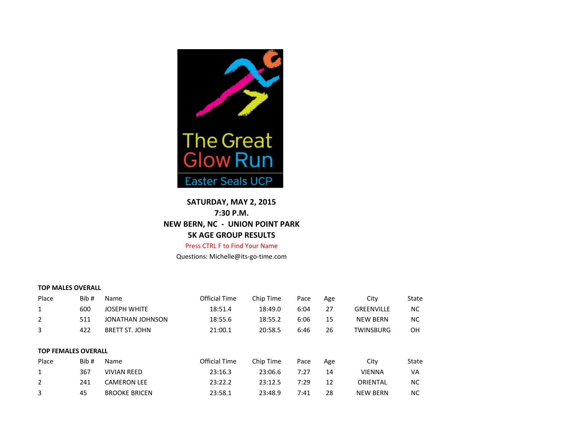

# **SATURDAY, MAY 2, 2015 7:30 P.M. NEW BERN, NC - UNION POINT PARK 5K AGE GROUP RESULTS**

### Press CTRL F to Find Your Name

Questions: Michelle@its-go-time.com

#### **TOP MALES OVERALL**

| Place                      | Bib# | Name                  | <b>Official Time</b> | Chip Time | Pace | Age | City              | State     |
|----------------------------|------|-----------------------|----------------------|-----------|------|-----|-------------------|-----------|
| 1                          | 600  | <b>JOSEPH WHITE</b>   | 18:51.4              | 18:49.0   | 6:04 | 27  | <b>GREENVILLE</b> | <b>NC</b> |
| 2                          | 511  | JONATHAN JOHNSON      | 18:55.6              | 18:55.2   | 6:06 | 15  | <b>NEW BERN</b>   | <b>NC</b> |
| 3                          | 422  | <b>BRETT ST. JOHN</b> | 21:00.1              | 20:58.5   | 6:46 | 26  | <b>TWINSBURG</b>  | OH        |
|                            |      |                       |                      |           |      |     |                   |           |
| <b>TOP FEMALES OVERALL</b> |      |                       |                      |           |      |     |                   |           |
| Place                      | Bib# | Name                  | <b>Official Time</b> | Chip Time | Pace | Age | City              | State     |
| 1                          | 367  | <b>VIVIAN REED</b>    | 23:16.3              | 23:06.6   | 7:27 | 14  | <b>VIENNA</b>     | VA        |
| $\overline{2}$             | 241  | <b>CAMERON LEE</b>    | 23:22.2              | 23:12.5   | 7:29 | 12  | ORIENTAL          | <b>NC</b> |
| 3                          | 45   | <b>BROOKE BRICEN</b>  | 23:58.1              | 23:48.9   | 7:41 | 28  | <b>NEW BERN</b>   | ΝC        |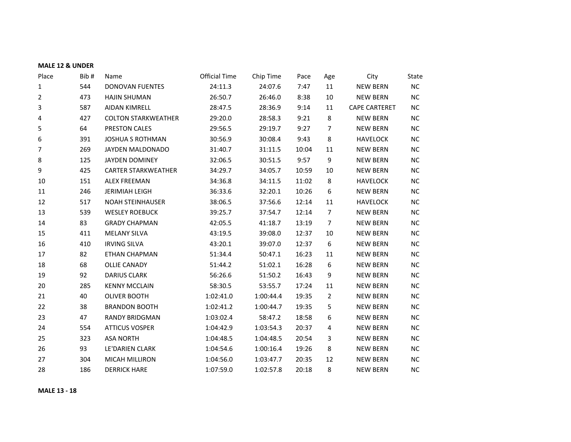| Place          | Bib# | Name                       | <b>Official Time</b> | Chip Time | Pace  | Age              | City                 | State     |
|----------------|------|----------------------------|----------------------|-----------|-------|------------------|----------------------|-----------|
| $\mathbf{1}$   | 544  | <b>DONOVAN FUENTES</b>     | 24:11.3              | 24:07.6   | 7:47  | 11               | <b>NEW BERN</b>      | NC        |
| 2              | 473  | <b>HAJIN SHUMAN</b>        | 26:50.7              | 26:46.0   | 8:38  | 10               | <b>NEW BERN</b>      | NC        |
| 3              | 587  | <b>AIDAN KIMRELL</b>       | 28:47.5              | 28:36.9   | 9:14  | 11               | <b>CAPE CARTERET</b> | NC.       |
| 4              | 427  | <b>COLTON STARKWEATHER</b> | 29:20.0              | 28:58.3   | 9:21  | 8                | <b>NEW BERN</b>      | NC        |
| 5              | 64   | PRESTON CALES              | 29:56.5              | 29:19.7   | 9:27  | 7                | <b>NEW BERN</b>      | NC.       |
| 6              | 391  | <b>JOSHUA S ROTHMAN</b>    | 30:56.9              | 30:08.4   | 9:43  | 8                | <b>HAVELOCK</b>      | <b>NC</b> |
| $\overline{7}$ | 269  | JAYDEN MALDONADO           | 31:40.7              | 31:11.5   | 10:04 | 11               | <b>NEW BERN</b>      | NC.       |
| 8              | 125  | JAYDEN DOMINEY             | 32:06.5              | 30:51.5   | 9:57  | 9                | <b>NEW BERN</b>      | <b>NC</b> |
| 9              | 425  | <b>CARTER STARKWEATHER</b> | 34:29.7              | 34:05.7   | 10:59 | 10               | <b>NEW BERN</b>      | <b>NC</b> |
| 10             | 151  | <b>ALEX FREEMAN</b>        | 34:36.8              | 34:11.5   | 11:02 | 8                | <b>HAVELOCK</b>      | NC.       |
| 11             | 246  | <b>JERIMIAH LEIGH</b>      | 36:33.6              | 32:20.1   | 10:26 | $\boldsymbol{6}$ | <b>NEW BERN</b>      | NC.       |
| 12             | 517  | <b>NOAH STEINHAUSER</b>    | 38:06.5              | 37:56.6   | 12:14 | 11               | <b>HAVELOCK</b>      | NC.       |
| 13             | 539  | <b>WESLEY ROEBUCK</b>      | 39:25.7              | 37:54.7   | 12:14 | $\overline{7}$   | <b>NEW BERN</b>      | <b>NC</b> |
| 14             | 83   | <b>GRADY CHAPMAN</b>       | 42:05.5              | 41:18.7   | 13:19 | $\overline{7}$   | <b>NEW BERN</b>      | NC        |
| 15             | 411  | <b>MELANY SILVA</b>        | 43:19.5              | 39:08.0   | 12:37 | 10               | <b>NEW BERN</b>      | NC.       |
| 16             | 410  | <b>IRVING SILVA</b>        | 43:20.1              | 39:07.0   | 12:37 | $\boldsymbol{6}$ | <b>NEW BERN</b>      | <b>NC</b> |
| 17             | 82   | <b>ETHAN CHAPMAN</b>       | 51:34.4              | 50:47.1   | 16:23 | 11               | <b>NEW BERN</b>      | NC.       |
| 18             | 68   | <b>OLLIE CANADY</b>        | 51:44.2              | 51:02.1   | 16:28 | 6                | <b>NEW BERN</b>      | <b>NC</b> |
| 19             | 92   | <b>DARIUS CLARK</b>        | 56:26.6              | 51:50.2   | 16:43 | 9                | <b>NEW BERN</b>      | NC.       |
| 20             | 285  | <b>KENNY MCCLAIN</b>       | 58:30.5              | 53:55.7   | 17:24 | 11               | <b>NEW BERN</b>      | <b>NC</b> |
| 21             | 40   | <b>OLIVER BOOTH</b>        | 1:02:41.0            | 1:00:44.4 | 19:35 | $\overline{2}$   | <b>NEW BERN</b>      | NC        |
| 22             | 38   | <b>BRANDON BOOTH</b>       | 1:02:41.2            | 1:00:44.7 | 19:35 | 5                | <b>NEW BERN</b>      | NC.       |
| 23             | 47   | <b>RANDY BRIDGMAN</b>      | 1:03:02.4            | 58:47.2   | 18:58 | 6                | <b>NEW BERN</b>      | <b>NC</b> |
| 24             | 554  | <b>ATTICUS VOSPER</b>      | 1:04:42.9            | 1:03:54.3 | 20:37 | 4                | <b>NEW BERN</b>      | NC.       |
| 25             | 323  | <b>ASA NORTH</b>           | 1:04:48.5            | 1:04:48.5 | 20:54 | 3                | <b>NEW BERN</b>      | <b>NC</b> |
| 26             | 93   | LE'DARIEN CLARK            | 1:04:54.6            | 1:00:16.4 | 19:26 | $\,8\,$          | <b>NEW BERN</b>      | NC.       |
| 27             | 304  | MICAH MILLIRON             | 1:04:56.0            | 1:03:47.7 | 20:35 | 12               | <b>NEW BERN</b>      | <b>NC</b> |
| 28             | 186  | <b>DERRICK HARE</b>        | 1:07:59.0            | 1:02:57.8 | 20:18 | 8                | <b>NEW BERN</b>      | NC        |

**MALE 13 - 18**

**MALE 12 & UNDER**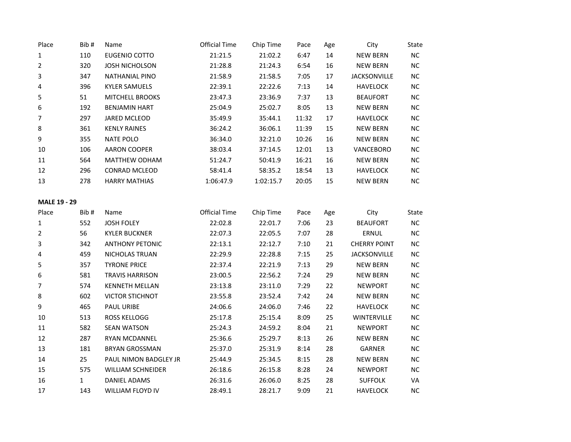| Place          | Bib# | Name                   | <b>Official Time</b> | Chip Time | Pace  | Age | City                | State     |
|----------------|------|------------------------|----------------------|-----------|-------|-----|---------------------|-----------|
| $\mathbf{1}$   | 110  | EUGENIO COTTO          | 21:21.5              | 21:02.2   | 6:47  | 14  | <b>NEW BERN</b>     | <b>NC</b> |
| $\overline{2}$ | 320  | <b>JOSH NICHOLSON</b>  | 21:28.8              | 21:24.3   | 6:54  | 16  | <b>NEW BERN</b>     | <b>NC</b> |
| 3              | 347  | NATHANIAL PINO         | 21:58.9              | 21:58.5   | 7:05  | 17  | <b>JACKSONVILLE</b> | NC.       |
| 4              | 396  | <b>KYLER SAMUELS</b>   | 22:39.1              | 22:22.6   | 7:13  | 14  | <b>HAVELOCK</b>     | <b>NC</b> |
| 5              | 51   | <b>MITCHELL BROOKS</b> | 23:47.3              | 23:36.9   | 7:37  | 13  | <b>BEAUFORT</b>     | <b>NC</b> |
| 6              | 192  | <b>BENJAMIN HART</b>   | 25:04.9              | 25:02.7   | 8:05  | 13  | <b>NEW BERN</b>     | NC.       |
| 7              | 297  | <b>JARED MCLEOD</b>    | 35:49.9              | 35:44.1   | 11:32 | 17  | <b>HAVELOCK</b>     | <b>NC</b> |
| 8              | 361  | <b>KENLY RAINES</b>    | 36:24.2              | 36:06.1   | 11:39 | 15  | <b>NEW BERN</b>     | NC.       |
| 9              | 355  | <b>NATE POLO</b>       | 36:34.0              | 32:21.0   | 10:26 | 16  | <b>NEW BERN</b>     | <b>NC</b> |
| 10             | 106  | <b>AARON COOPER</b>    | 38:03.4              | 37:14.5   | 12:01 | 13  | <b>VANCEBORO</b>    | <b>NC</b> |
| 11             | 564  | <b>MATTHEW ODHAM</b>   | 51:24.7              | 50:41.9   | 16:21 | 16  | <b>NEW BERN</b>     | NC.       |
| 12             | 296  | <b>CONRAD MCLEOD</b>   | 58:41.4              | 58:35.2   | 18:54 | 13  | <b>HAVELOCK</b>     | NC.       |
| 13             | 278  | <b>HARRY MATHIAS</b>   | 1:06:47.9            | 1:02:15.7 | 20:05 | 15  | <b>NEW BERN</b>     | <b>NC</b> |
|                |      |                        |                      |           |       |     |                     |           |

## **MALE 19 - 29**

| Place | Bib#         | Name                     | <b>Official Time</b> | Chip Time | Pace | Age | City                | State     |
|-------|--------------|--------------------------|----------------------|-----------|------|-----|---------------------|-----------|
| 1     | 552          | <b>JOSH FOLEY</b>        | 22:02.8              | 22:01.7   | 7:06 | 23  | <b>BEAUFORT</b>     | NC.       |
| 2     | 56           | <b>KYLER BUCKNER</b>     | 22:07.3              | 22:05.5   | 7:07 | 28  | ERNUL               | NC.       |
| 3     | 342          | <b>ANTHONY PETONIC</b>   | 22:13.1              | 22:12.7   | 7:10 | 21  | <b>CHERRY POINT</b> | NC.       |
| 4     | 459          | NICHOLAS TRUAN           | 22:29.9              | 22:28.8   | 7:15 | 25  | <b>JACKSONVILLE</b> | NC.       |
| 5     | 357          | <b>TYRONE PRICE</b>      | 22:37.4              | 22:21.9   | 7:13 | 29  | <b>NEW BERN</b>     | NC.       |
| 6     | 581          | <b>TRAVIS HARRISON</b>   | 23:00.5              | 22:56.2   | 7:24 | 29  | <b>NEW BERN</b>     | NC.       |
| 7     | 574          | <b>KENNETH MELLAN</b>    | 23:13.8              | 23:11.0   | 7:29 | 22  | <b>NEWPORT</b>      | NC.       |
| 8     | 602          | <b>VICTOR STICHNOT</b>   | 23:55.8              | 23:52.4   | 7:42 | 24  | <b>NEW BERN</b>     | NC.       |
| 9     | 465          | <b>PAUL URIBE</b>        | 24:06.6              | 24:06.0   | 7:46 | 22  | <b>HAVELOCK</b>     | NC.       |
| 10    | 513          | <b>ROSS KELLOGG</b>      | 25:17.8              | 25:15.4   | 8:09 | 25  | <b>WINTERVILLE</b>  | NC.       |
| 11    | 582          | <b>SEAN WATSON</b>       | 25:24.3              | 24:59.2   | 8:04 | 21  | <b>NEWPORT</b>      | NC.       |
| 12    | 287          | <b>RYAN MCDANNEL</b>     | 25:36.6              | 25:29.7   | 8:13 | 26  | <b>NEW BERN</b>     | NC.       |
| 13    | 181          | <b>BRYAN GROSSMAN</b>    | 25:37.0              | 25:31.9   | 8:14 | 28  | <b>GARNER</b>       | NC.       |
| 14    | 25           | PAUL NIMON BADGLEY JR    | 25:44.9              | 25:34.5   | 8:15 | 28  | <b>NEW BERN</b>     | NC.       |
| 15    | 575          | <b>WILLIAM SCHNEIDER</b> | 26:18.6              | 26:15.8   | 8:28 | 24  | <b>NEWPORT</b>      | NC.       |
| 16    | $\mathbf{1}$ | DANIEL ADAMS             | 26:31.6              | 26:06.0   | 8:25 | 28  | <b>SUFFOLK</b>      | VA        |
| 17    | 143          | WILLIAM FLOYD IV         | 28:49.1              | 28:21.7   | 9:09 | 21  | <b>HAVELOCK</b>     | <b>NC</b> |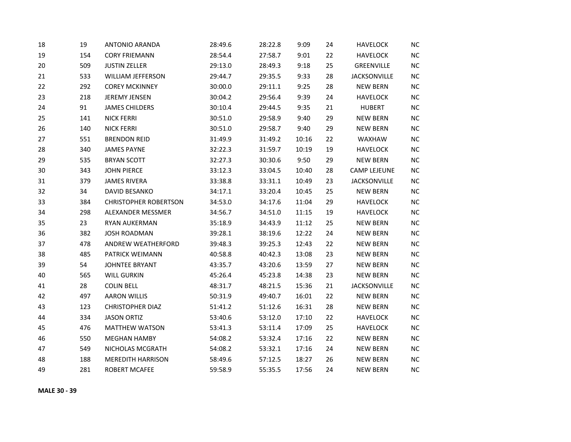| 18 | 19  | <b>ANTONIO ARANDA</b>        | 28:49.6 | 28:22.8 | 9:09  | 24 | <b>HAVELOCK</b>     | <b>NC</b>  |
|----|-----|------------------------------|---------|---------|-------|----|---------------------|------------|
| 19 | 154 | <b>CORY FRIEMANN</b>         | 28:54.4 | 27:58.7 | 9:01  | 22 | <b>HAVELOCK</b>     | NC         |
| 20 | 509 | <b>JUSTIN ZELLER</b>         | 29:13.0 | 28:49.3 | 9:18  | 25 | GREENVILLE          | NC         |
| 21 | 533 | WILLIAM JEFFERSON            | 29:44.7 | 29:35.5 | 9:33  | 28 | <b>JACKSONVILLE</b> | NC         |
| 22 | 292 | <b>COREY MCKINNEY</b>        | 30:00.0 | 29:11.1 | 9:25  | 28 | <b>NEW BERN</b>     | <b>NC</b>  |
| 23 | 218 | <b>JEREMY JENSEN</b>         | 30:04.2 | 29:56.4 | 9:39  | 24 | <b>HAVELOCK</b>     | NC.        |
| 24 | 91  | <b>JAMES CHILDERS</b>        | 30:10.4 | 29:44.5 | 9:35  | 21 | <b>HUBERT</b>       | <b>NC</b>  |
| 25 | 141 | <b>NICK FERRI</b>            | 30:51.0 | 29:58.9 | 9:40  | 29 | <b>NEW BERN</b>     | NC         |
| 26 | 140 | <b>NICK FERRI</b>            | 30:51.0 | 29:58.7 | 9:40  | 29 | <b>NEW BERN</b>     | NC         |
| 27 | 551 | <b>BRENDON REID</b>          | 31:49.9 | 31:49.2 | 10:16 | 22 | WAXHAW              | $NC$       |
| 28 | 340 | <b>JAMES PAYNE</b>           | 32:22.3 | 31:59.7 | 10:19 | 19 | <b>HAVELOCK</b>     | <b>NC</b>  |
| 29 | 535 | <b>BRYAN SCOTT</b>           | 32:27.3 | 30:30.6 | 9:50  | 29 | <b>NEW BERN</b>     | NC.        |
| 30 | 343 | <b>JOHN PIERCE</b>           | 33:12.3 | 33:04.5 | 10:40 | 28 | <b>CAMP LEJEUNE</b> | NC         |
| 31 | 379 | <b>JAMES RIVERA</b>          | 33:38.8 | 33:31.1 | 10:49 | 23 | <b>JACKSONVILLE</b> | NC         |
| 32 | 34  | DAVID BESANKO                | 34:17.1 | 33:20.4 | 10:45 | 25 | <b>NEW BERN</b>     | NC         |
| 33 | 384 | <b>CHRISTOPHER ROBERTSON</b> | 34:53.0 | 34:17.6 | 11:04 | 29 | <b>HAVELOCK</b>     | <b>NC</b>  |
| 34 | 298 | ALEXANDER MESSMER            | 34:56.7 | 34:51.0 | 11:15 | 19 | <b>HAVELOCK</b>     | NC         |
| 35 | 23  | <b>RYAN AUKERMAN</b>         | 35:18.9 | 34:43.9 | 11:12 | 25 | <b>NEW BERN</b>     | NC         |
| 36 | 382 | <b>JOSH ROADMAN</b>          | 39:28.1 | 38:19.6 | 12:22 | 24 | <b>NEW BERN</b>     | NC         |
| 37 | 478 | ANDREW WEATHERFORD           | 39:48.3 | 39:25.3 | 12:43 | 22 | <b>NEW BERN</b>     | NC         |
| 38 | 485 | PATRICK WEIMANN              | 40:58.8 | 40:42.3 | 13:08 | 23 | <b>NEW BERN</b>     | <b>NC</b>  |
| 39 | 54  | <b>JOHNTEE BRYANT</b>        | 43:35.7 | 43:20.6 | 13:59 | 27 | <b>NEW BERN</b>     | NC         |
| 40 | 565 | <b>WILL GURKIN</b>           | 45:26.4 | 45:23.8 | 14:38 | 23 | <b>NEW BERN</b>     | NC         |
| 41 | 28  | <b>COLIN BELL</b>            | 48:31.7 | 48:21.5 | 15:36 | 21 | <b>JACKSONVILLE</b> | <b>NC</b>  |
| 42 | 497 | <b>AARON WILLIS</b>          | 50:31.9 | 49:40.7 | 16:01 | 22 | <b>NEW BERN</b>     | NC         |
| 43 | 123 | <b>CHRISTOPHER DIAZ</b>      | 51:41.2 | 51:12.6 | 16:31 | 28 | <b>NEW BERN</b>     | NC         |
| 44 | 334 | <b>JASON ORTIZ</b>           | 53:40.6 | 53:12.0 | 17:10 | 22 | <b>HAVELOCK</b>     | <b>NC</b>  |
| 45 | 476 | <b>MATTHEW WATSON</b>        | 53:41.3 | 53:11.4 | 17:09 | 25 | <b>HAVELOCK</b>     | NC         |
| 46 | 550 | <b>MEGHAN HAMBY</b>          | 54:08.2 | 53:32.4 | 17:16 | 22 | <b>NEW BERN</b>     | NC         |
| 47 | 549 | NICHOLAS MCGRATH             | 54:08.2 | 53:32.1 | 17:16 | 24 | <b>NEW BERN</b>     | ${\sf NC}$ |
| 48 | 188 | <b>MEREDITH HARRISON</b>     | 58:49.6 | 57:12.5 | 18:27 | 26 | <b>NEW BERN</b>     | NC         |
| 49 | 281 | <b>ROBERT MCAFEE</b>         | 59:58.9 | 55:35.5 | 17:56 | 24 | <b>NEW BERN</b>     | NC.        |

**MALE 30 - 39**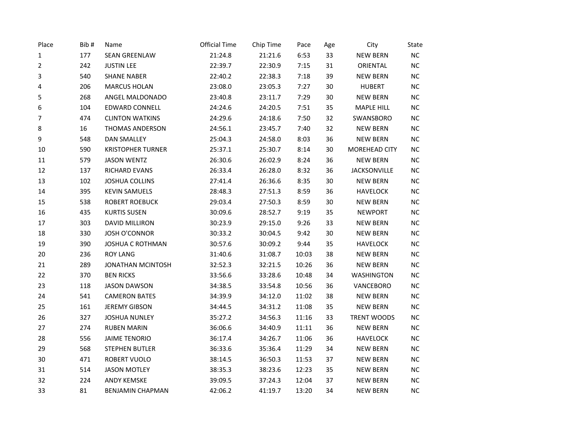| Place       | Bib# | Name                     | <b>Official Time</b> | Chip Time | Pace  | Age    | City              | State     |
|-------------|------|--------------------------|----------------------|-----------|-------|--------|-------------------|-----------|
| $\mathbf 1$ | 177  | <b>SEAN GREENLAW</b>     | 21:24.8              | 21:21.6   | 6:53  | 33     | <b>NEW BERN</b>   | NC        |
| 2           | 242  | <b>JUSTIN LEE</b>        | 22:39.7              | 22:30.9   | 7:15  | 31     | ORIENTAL          | NC.       |
| 3           | 540  | <b>SHANE NABER</b>       | 22:40.2              | 22:38.3   | 7:18  | 39     | <b>NEW BERN</b>   | NC        |
| 4           | 206  | <b>MARCUS HOLAN</b>      | 23:08.0              | 23:05.3   | 7:27  | 30     | <b>HUBERT</b>     | NC        |
| 5           | 268  | ANGEL MALDONADO          | 23:40.8              | 23:11.7   | 7:29  | 30     | <b>NEW BERN</b>   | NC        |
| 6           | 104  | <b>EDWARD CONNELL</b>    | 24:24.6              | 24:20.5   | 7:51  | 35     | <b>MAPLE HILL</b> | <b>NC</b> |
| 7           | 474  | <b>CLINTON WATKINS</b>   | 24:29.6              | 24:18.6   | 7:50  | 32     | SWANSBORO         | NC        |
| 8           | 16   | THOMAS ANDERSON          | 24:56.1              | 23:45.7   | 7:40  | 32     | <b>NEW BERN</b>   | NC        |
| 9           | 548  | <b>DAN SMALLEY</b>       | 25:04.3              | 24:58.0   | 8:03  | 36     | <b>NEW BERN</b>   | NC        |
| 10          | 590  | <b>KRISTOPHER TURNER</b> | 25:37.1              | 25:30.7   | 8:14  | 30     | MOREHEAD CITY     | NC.       |
| 11          | 579  | <b>JASON WENTZ</b>       | 26:30.6              | 26:02.9   | 8:24  | 36     | <b>NEW BERN</b>   | NC        |
| 12          | 137  | RICHARD EVANS            | 26:33.4              | 26:28.0   | 8:32  | 36     | JACKSONVILLE      | NC        |
| 13          | 102  | <b>JOSHUA COLLINS</b>    | 27:41.4              | 26:36.6   | 8:35  | 30     | <b>NEW BERN</b>   | NC        |
| 14          | 395  | <b>KEVIN SAMUELS</b>     | 28:48.3              | 27:51.3   | 8:59  | 36     | <b>HAVELOCK</b>   | NC        |
| 15          | 538  | <b>ROBERT ROEBUCK</b>    | 29:03.4              | 27:50.3   | 8:59  | $30\,$ | <b>NEW BERN</b>   | $\sf NC$  |
| 16          | 435  | <b>KURTIS SUSEN</b>      | 30:09.6              | 28:52.7   | 9:19  | 35     | <b>NEWPORT</b>    | NC        |
| 17          | 303  | <b>DAVID MILLIRON</b>    | 30:23.9              | 29:15.0   | 9:26  | 33     | <b>NEW BERN</b>   | NC        |
| 18          | 330  | <b>JOSH O'CONNOR</b>     | 30:33.2              | 30:04.5   | 9:42  | 30     | <b>NEW BERN</b>   | <b>NC</b> |
| 19          | 390  | <b>JOSHUA C ROTHMAN</b>  | 30:57.6              | 30:09.2   | 9:44  | 35     | <b>HAVELOCK</b>   | <b>NC</b> |
| 20          | 236  | <b>ROY LANG</b>          | 31:40.6              | 31:08.7   | 10:03 | 38     | <b>NEW BERN</b>   | NC        |
| 21          | 289  | <b>JONATHAN MCINTOSH</b> | 32:52.3              | 32:21.5   | 10:26 | 36     | <b>NEW BERN</b>   | NC        |
| 22          | 370  | <b>BEN RICKS</b>         | 33:56.6              | 33:28.6   | 10:48 | 34     | <b>WASHINGTON</b> | <b>NC</b> |
| 23          | 118  | <b>JASON DAWSON</b>      | 34:38.5              | 33:54.8   | 10:56 | 36     | VANCEBORO         | $\sf NC$  |
| 24          | 541  | <b>CAMERON BATES</b>     | 34:39.9              | 34:12.0   | 11:02 | 38     | <b>NEW BERN</b>   | NC        |
| 25          | 161  | <b>JEREMY GIBSON</b>     | 34:44.5              | 34:31.2   | 11:08 | 35     | <b>NEW BERN</b>   | <b>NC</b> |
| 26          | 327  | <b>JOSHUA NUNLEY</b>     | 35:27.2              | 34:56.3   | 11:16 | 33     | TRENT WOODS       | NC.       |
| 27          | 274  | <b>RUBEN MARIN</b>       | 36:06.6              | 34:40.9   | 11:11 | 36     | <b>NEW BERN</b>   | NC        |
| 28          | 556  | <b>JAIME TENORIO</b>     | 36:17.4              | 34:26.7   | 11:06 | 36     | <b>HAVELOCK</b>   | NC        |
| 29          | 568  | <b>STEPHEN BUTLER</b>    | 36:33.6              | 35:36.4   | 11:29 | 34     | <b>NEW BERN</b>   | NC        |
| 30          | 471  | ROBERT VUOLO             | 38:14.5              | 36:50.3   | 11:53 | 37     | <b>NEW BERN</b>   | <b>NC</b> |
| 31          | 514  | <b>JASON MOTLEY</b>      | 38:35.3              | 38:23.6   | 12:23 | 35     | <b>NEW BERN</b>   | <b>NC</b> |
| 32          | 224  | <b>ANDY KEMSKE</b>       | 39:09.5              | 37:24.3   | 12:04 | 37     | <b>NEW BERN</b>   | NC        |
| 33          | 81   | <b>BENJAMIN CHAPMAN</b>  | 42:06.2              | 41:19.7   | 13:20 | 34     | <b>NEW BERN</b>   | <b>NC</b> |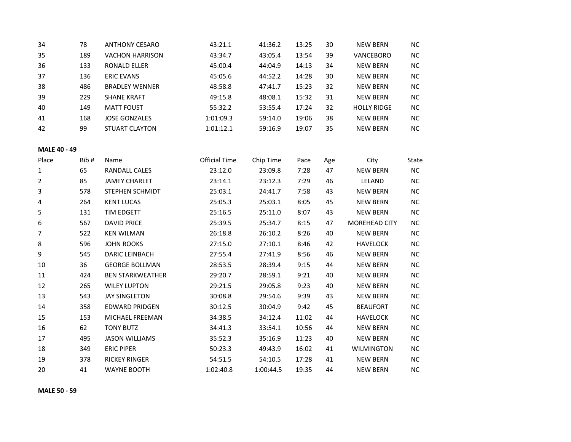| 34 | 78  | <b>ANTHONY CESARO</b>  | 43:21.1   | 41:36.2 | 13:25 | 30 | NEW BERN           | NC.       |
|----|-----|------------------------|-----------|---------|-------|----|--------------------|-----------|
| 35 | 189 | <b>VACHON HARRISON</b> | 43:34.7   | 43:05.4 | 13:54 | 39 | VANCEBORO          | <b>NC</b> |
| 36 | 133 | RONALD ELLER           | 45:00.4   | 44:04.9 | 14:13 | 34 | NEW BERN           | <b>NC</b> |
| 37 | 136 | <b>ERIC EVANS</b>      | 45:05.6   | 44:52.2 | 14:28 | 30 | NEW BERN           | <b>NC</b> |
| 38 | 486 | <b>BRADLEY WENNER</b>  | 48:58.8   | 47:41.7 | 15:23 | 32 | NEW BERN           | <b>NC</b> |
| 39 | 229 | <b>SHANE KRAFT</b>     | 49:15.8   | 48:08.1 | 15:32 | 31 | <b>NEW BERN</b>    | <b>NC</b> |
| 40 | 149 | <b>MATT FOUST</b>      | 55:32.2   | 53:55.4 | 17:24 | 32 | <b>HOLLY RIDGE</b> | NC.       |
| 41 | 168 | <b>JOSE GONZALES</b>   | 1:01:09.3 | 59:14.0 | 19:06 | 38 | <b>NEW BERN</b>    | <b>NC</b> |
| 42 | 99  | <b>STUART CLAYTON</b>  | 1:01:12.1 | 59:16.9 | 19:07 | 35 | <b>NEW BERN</b>    | <b>NC</b> |

#### **MALE 40 - 49**

| Place | Bib# | Name                    | Official Time | Chip Time | Pace  | Age | City                 | State     |
|-------|------|-------------------------|---------------|-----------|-------|-----|----------------------|-----------|
| 1     | 65   | <b>RANDALL CALES</b>    | 23:12.0       | 23:09.8   | 7:28  | 47  | <b>NEW BERN</b>      | NC.       |
| 2     | 85   | <b>JAMEY CHARLET</b>    | 23:14.1       | 23:12.3   | 7:29  | 46  | LELAND               | NC.       |
| 3     | 578  | <b>STEPHEN SCHMIDT</b>  | 25:03.1       | 24:41.7   | 7:58  | 43  | <b>NEW BERN</b>      | NC.       |
| 4     | 264  | <b>KENT LUCAS</b>       | 25:05.3       | 25:03.1   | 8:05  | 45  | <b>NEW BERN</b>      | NC.       |
| 5     | 131  | TIM EDGETT              | 25:16.5       | 25:11.0   | 8:07  | 43  | <b>NEW BERN</b>      | NC.       |
| 6     | 567  | <b>DAVID PRICE</b>      | 25:39.5       | 25:34.7   | 8:15  | 47  | <b>MOREHEAD CITY</b> | NC.       |
| 7     | 522  | <b>KEN WILMAN</b>       | 26:18.8       | 26:10.2   | 8:26  | 40  | <b>NEW BERN</b>      | NC.       |
| 8     | 596  | <b>JOHN ROOKS</b>       | 27:15.0       | 27:10.1   | 8:46  | 42  | <b>HAVELOCK</b>      | NC.       |
| 9     | 545  | <b>DARIC LEINBACH</b>   | 27:55.4       | 27:41.9   | 8:56  | 46  | <b>NEW BERN</b>      | NC.       |
| 10    | 36   | <b>GEORGE BOLLMAN</b>   | 28:53.5       | 28:39.4   | 9:15  | 44  | <b>NEW BERN</b>      | NC.       |
| 11    | 424  | <b>BEN STARKWEATHER</b> | 29:20.7       | 28:59.1   | 9:21  | 40  | <b>NEW BERN</b>      | NC.       |
| 12    | 265  | <b>WILEY LUPTON</b>     | 29:21.5       | 29:05.8   | 9:23  | 40  | <b>NEW BERN</b>      | NC.       |
| 13    | 543  | <b>JAY SINGLETON</b>    | 30:08.8       | 29:54.6   | 9:39  | 43  | <b>NEW BERN</b>      | NC.       |
| 14    | 358  | <b>EDWARD PRIDGEN</b>   | 30:12.5       | 30:04.9   | 9:42  | 45  | <b>BEAUFORT</b>      | NC.       |
| 15    | 153  | <b>MICHAEL FREEMAN</b>  | 34:38.5       | 34:12.4   | 11:02 | 44  | <b>HAVELOCK</b>      | NC.       |
| 16    | 62   | <b>TONY BUTZ</b>        | 34:41.3       | 33:54.1   | 10:56 | 44  | <b>NEW BERN</b>      | NC.       |
| 17    | 495  | <b>JASON WILLIAMS</b>   | 35:52.3       | 35:16.9   | 11:23 | 40  | <b>NEW BERN</b>      | NC.       |
| 18    | 349  | <b>ERIC PIPER</b>       | 50:23.3       | 49:43.9   | 16:02 | 41  | <b>WILMINGTON</b>    | NC.       |
| 19    | 378  | <b>RICKEY RINGER</b>    | 54:51.5       | 54:10.5   | 17:28 | 41  | <b>NEW BERN</b>      | NC.       |
| 20    | 41   | <b>WAYNE BOOTH</b>      | 1:02:40.8     | 1:00:44.5 | 19:35 | 44  | <b>NEW BERN</b>      | <b>NC</b> |

**MALE 50 - 59**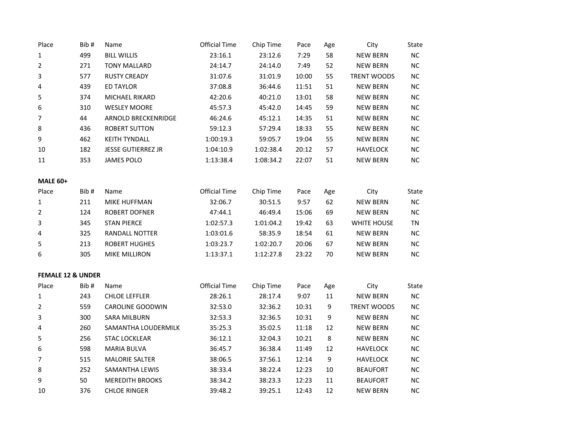| Place                        | Bib# | Name                      | <b>Official Time</b> | Chip Time | Pace  | Age              | City               | State        |
|------------------------------|------|---------------------------|----------------------|-----------|-------|------------------|--------------------|--------------|
| $\mathbf 1$                  | 499  | <b>BILL WILLIS</b>        | 23:16.1              | 23:12.6   | 7:29  | 58               | <b>NEW BERN</b>    | NC           |
| $\overline{2}$               | 271  | <b>TONY MALLARD</b>       | 24:14.7              | 24:14.0   | 7:49  | 52               | <b>NEW BERN</b>    | NC           |
| 3                            | 577  | <b>RUSTY CREADY</b>       | 31:07.6              | 31:01.9   | 10:00 | 55               | <b>TRENT WOODS</b> | NC           |
| 4                            | 439  | <b>ED TAYLOR</b>          | 37:08.8              | 36:44.6   | 11:51 | 51               | <b>NEW BERN</b>    | NC           |
| 5                            | 374  | MICHAEL RIKARD            | 42:20.6              | 40:21.0   | 13:01 | 58               | <b>NEW BERN</b>    | ${\sf NC}$   |
| 6                            | 310  | <b>WESLEY MOORE</b>       | 45:57.3              | 45:42.0   | 14:45 | 59               | <b>NEW BERN</b>    | $\sf NC$     |
| $\overline{7}$               | 44   | ARNOLD BRECKENRIDGE       | 46:24.6              | 45:12.1   | 14:35 | 51               | <b>NEW BERN</b>    | $\sf NC$     |
| 8                            | 436  | <b>ROBERT SUTTON</b>      | 59:12.3              | 57:29.4   | 18:33 | 55               | <b>NEW BERN</b>    | NC           |
| 9                            | 462  | <b>KEITH TYNDALL</b>      | 1:00:19.3            | 59:05.7   | 19:04 | 55               | <b>NEW BERN</b>    | NC           |
| 10                           | 182  | <b>JESSE GUTIERREZ JR</b> | 1:04:10.9            | 1:02:38.4 | 20:12 | 57               | <b>HAVELOCK</b>    | NC           |
| $11\,$                       | 353  | <b>JAMES POLO</b>         | 1:13:38.4            | 1:08:34.2 | 22:07 | 51               | <b>NEW BERN</b>    | NC           |
| <b>MALE 60+</b>              |      |                           |                      |           |       |                  |                    |              |
| Place                        | Bib# | Name                      | <b>Official Time</b> | Chip Time | Pace  | Age              | City               | State        |
| $\mathbf 1$                  | 211  | MIKE HUFFMAN              | 32:06.7              | 30:51.5   | 9:57  | 62               | <b>NEW BERN</b>    | ${\sf NC}$   |
| $\overline{2}$               | 124  | <b>ROBERT DOFNER</b>      | 47:44.1              | 46:49.4   | 15:06 | 69               | <b>NEW BERN</b>    | $\sf NC$     |
| 3                            | 345  | <b>STAN PIERCE</b>        | 1:02:57.3            | 1:01:04.2 | 19:42 | 63               | WHITE HOUSE        | <b>TN</b>    |
| 4                            | 325  | <b>RANDALL NOTTER</b>     | 1:03:01.6            | 58:35.9   | 18:54 | 61               | <b>NEW BERN</b>    | NC           |
| 5                            | 213  | <b>ROBERT HUGHES</b>      | 1:03:23.7            | 1:02:20.7 | 20:06 | 67               | <b>NEW BERN</b>    | NC           |
| 6                            | 305  | <b>MIKE MILLIRON</b>      | 1:13:37.1            | 1:12:27.8 | 23:22 | 70               | <b>NEW BERN</b>    | NC           |
| <b>FEMALE 12 &amp; UNDER</b> |      |                           |                      |           |       |                  |                    |              |
| Place                        | Bib# | Name                      | <b>Official Time</b> | Chip Time | Pace  | Age              | City               | <b>State</b> |
| $\mathbf 1$                  | 243  | <b>CHLOE LEFFLER</b>      | 28:26.1              | 28:17.4   | 9:07  | 11               | <b>NEW BERN</b>    | NC           |
| $\overline{2}$               | 559  | <b>CAROLINE GOODWIN</b>   | 32:53.0              | 32:36.2   | 10:31 | $\boldsymbol{9}$ | <b>TRENT WOODS</b> | NC           |
| 3                            | 300  | <b>SARA MILBURN</b>       | 32:53.3              | 32:36.5   | 10:31 | 9                | <b>NEW BERN</b>    | NC           |
| 4                            | 260  | SAMANTHA LOUDERMILK       | 35:25.3              | 35:02.5   | 11:18 | 12               | <b>NEW BERN</b>    | NC           |
| 5                            | 256  | <b>STAC LOCKLEAR</b>      | 36:12.1              | 32:04.3   | 10:21 | 8                | <b>NEW BERN</b>    | NC           |
| 6                            | 598  | <b>MARIA BULVA</b>        | 36:45.7              | 36:38.4   | 11:49 | 12               | <b>HAVELOCK</b>    | NC           |
| $\overline{7}$               | 515  | <b>MALORIE SALTER</b>     | 38:06.5              | 37:56.1   | 12:14 | 9                | <b>HAVELOCK</b>    | ${\sf NC}$   |
| 8                            | 252  | SAMANTHA LEWIS            | 38:33.4              | 38:22.4   | 12:23 | 10               | <b>BEAUFORT</b>    | NC           |
| 9                            | 50   | <b>MEREDITH BROOKS</b>    | 38:34.2              | 38:23.3   | 12:23 | 11               | <b>BEAUFORT</b>    | NC           |
| 10                           | 376  | <b>CHLOE RINGER</b>       | 39:48.2              | 39:25.1   | 12:43 | 12               | <b>NEW BERN</b>    | NC           |
|                              |      |                           |                      |           |       |                  |                    |              |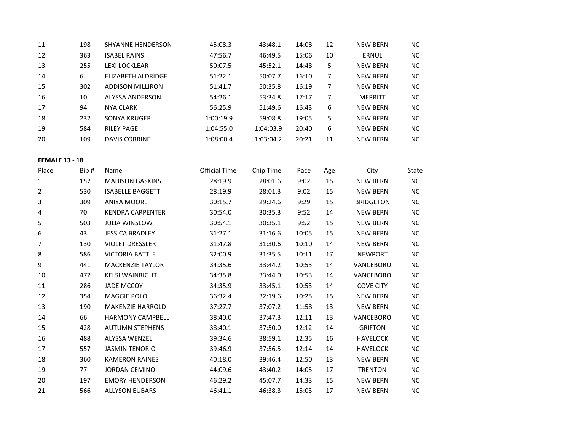| 11 | 198 | SHYANNE HENDERSON       | 45:08.3   | 43:48.1   | 14:08 | 12 | <b>NEW BERN</b> | <b>NC</b> |
|----|-----|-------------------------|-----------|-----------|-------|----|-----------------|-----------|
| 12 | 363 | <b>ISABEL RAINS</b>     | 47:56.7   | 46:49.5   | 15:06 | 10 | ERNUL           | <b>NC</b> |
| 13 | 255 | LEXI LOCKLEAR           | 50:07.5   | 45:52.1   | 14:48 | 5  | <b>NEW BERN</b> | <b>NC</b> |
| 14 | 6   | ELIZABETH ALDRIDGE      | 51:22.1   | 50:07.7   | 16:10 |    | <b>NEW BERN</b> | <b>NC</b> |
| 15 | 302 | <b>ADDISON MILLIRON</b> | 51:41.7   | 50:35.8   | 16:19 | 7  | <b>NEW BERN</b> | <b>NC</b> |
| 16 | 10  | ALYSSA ANDERSON         | 54:26.1   | 53:34.8   | 17:17 | 7  | <b>MERRITT</b>  | <b>NC</b> |
| 17 | 94  | <b>NYA CLARK</b>        | 56:25.9   | 51:49.6   | 16:43 | 6  | <b>NEW BERN</b> | <b>NC</b> |
| 18 | 232 | <b>SONYA KRUGER</b>     | 1:00:19.9 | 59:08.8   | 19:05 | 5  | <b>NEW BERN</b> | <b>NC</b> |
| 19 | 584 | <b>RILEY PAGE</b>       | 1:04:55.0 | 1:04:03.9 | 20:40 | 6  | <b>NEW BERN</b> | <b>NC</b> |
| 20 | 109 | <b>DAVIS CORRINE</b>    | 1:08:00.4 | 1:03:04.2 | 20:21 | 11 | <b>NEW BERN</b> | ΝC        |

### **FEMALE 13 - 18**

| Place | Bib# | Name                    | Official Time | Chip Time | Pace  | Age | City             | State     |
|-------|------|-------------------------|---------------|-----------|-------|-----|------------------|-----------|
| 1     | 157  | <b>MADISON GASKINS</b>  | 28:19.9       | 28:01.6   | 9:02  | 15  | <b>NEW BERN</b>  | NC        |
| 2     | 530  | <b>ISABELLE BAGGETT</b> | 28:19.9       | 28:01.3   | 9:02  | 15  | <b>NEW BERN</b>  | <b>NC</b> |
| 3     | 309  | <b>ANIYA MOORE</b>      | 30:15.7       | 29:24.6   | 9:29  | 15  | <b>BRIDGETON</b> | NC.       |
| 4     | 70   | <b>KENDRA CARPENTER</b> | 30:54.0       | 30:35.3   | 9:52  | 14  | <b>NEW BERN</b>  | <b>NC</b> |
| 5     | 503  | <b>JULIA WINSLOW</b>    | 30:54.1       | 30:35.1   | 9:52  | 15  | <b>NEW BERN</b>  | <b>NC</b> |
| 6     | 43   | <b>JESSICA BRADLEY</b>  | 31:27.1       | 31:16.6   | 10:05 | 15  | <b>NEW BERN</b>  | NC.       |
| 7     | 130  | <b>VIOLET DRESSLER</b>  | 31:47.8       | 31:30.6   | 10:10 | 14  | <b>NEW BERN</b>  | NC.       |
| 8     | 586  | <b>VICTORIA BATTLE</b>  | 32:00.9       | 31:35.5   | 10:11 | 17  | <b>NEWPORT</b>   | ΝC        |
| 9     | 441  | <b>MACKENZIE TAYLOR</b> | 34:35.6       | 33:44.2   | 10:53 | 14  | <b>VANCEBORO</b> | NC.       |
| 10    | 472  | <b>KELSI WAINRIGHT</b>  | 34:35.8       | 33:44.0   | 10:53 | 14  | <b>VANCEBORO</b> | NC.       |
| 11    | 286  | JADE MCCOY              | 34:35.9       | 33:45.1   | 10:53 | 14  | <b>COVE CITY</b> | NC.       |
| 12    | 354  | <b>MAGGIE POLO</b>      | 36:32.4       | 32:19.6   | 10:25 | 15  | <b>NEW BERN</b>  | <b>NC</b> |
| 13    | 190  | <b>MAKENZIE HARROLD</b> | 37:27.7       | 37:07.2   | 11:58 | 13  | <b>NEW BERN</b>  | NC.       |
| 14    | 66   | <b>HARMONY CAMPBELL</b> | 38:40.0       | 37:47.3   | 12:11 | 13  | <b>VANCEBORO</b> | <b>NC</b> |
| 15    | 428  | <b>AUTUMN STEPHENS</b>  | 38:40.1       | 37:50.0   | 12:12 | 14  | <b>GRIFTON</b>   | ΝC        |
| 16    | 488  | <b>ALYSSA WENZEL</b>    | 39:34.6       | 38:59.1   | 12:35 | 16  | <b>HAVELOCK</b>  | NC.       |
| 17    | 557  | <b>JASMIN TENORIO</b>   | 39:46.9       | 37:56.5   | 12:14 | 14  | <b>HAVELOCK</b>  | <b>NC</b> |
| 18    | 360  | <b>KAMERON RAINES</b>   | 40:18.0       | 39:46.4   | 12:50 | 13  | <b>NEW BERN</b>  | NC.       |
| 19    | 77   | <b>JORDAN CEMINO</b>    | 44:09.6       | 43:40.2   | 14:05 | 17  | <b>TRENTON</b>   | NC.       |
| 20    | 197  | <b>EMORY HENDERSON</b>  | 46:29.2       | 45:07.7   | 14:33 | 15  | <b>NEW BERN</b>  | NC.       |
| 21    | 566  | <b>ALLYSON EUBARS</b>   | 46:41.1       | 46:38.3   | 15:03 | 17  | <b>NEW BERN</b>  | <b>NC</b> |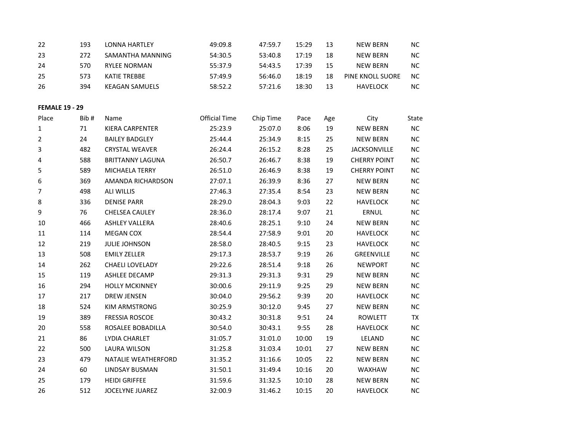| 193 | LONNA HARTLEY       | 49:09.8 | 47:59.7 | 15:29 | 13 | NEW BERN         | NC.       |
|-----|---------------------|---------|---------|-------|----|------------------|-----------|
| 272 | SAMANTHA MANNING    | 54:30.5 | 53:40.8 | 17:19 | 18 | NEW BERN         | NC.       |
| 570 | <b>RYLEE NORMAN</b> | 55:37.9 | 54:43.5 | 17:39 | 15 | NFW BFRN         | NC.       |
| 573 | KATIE TREBBE        | 57:49.9 | 56:46.0 | 18:19 | 18 | PINE KNOLL SUORE | <b>NC</b> |
| 394 | KEAGAN SAMUELS      | 58:52.2 | 57:21.6 | 18:30 | 13 | HAVFLOCK         | ΝC        |
|     |                     |         |         |       |    |                  |           |

**FEMALE 19 - 29**

| Place | Bib# | Name                       | <b>Official Time</b> | Chip Time | Pace  | Age | City                | State     |
|-------|------|----------------------------|----------------------|-----------|-------|-----|---------------------|-----------|
| 1     | 71   | KIERA CARPENTER            | 25:23.9              | 25:07.0   | 8:06  | 19  | <b>NEW BERN</b>     | NC        |
| 2     | 24   | <b>BAILEY BADGLEY</b>      | 25:44.4              | 25:34.9   | 8:15  | 25  | <b>NEW BERN</b>     | NC.       |
| 3     | 482  | <b>CRYSTAL WEAVER</b>      | 26:24.4              | 26:15.2   | 8:28  | 25  | <b>JACKSONVILLE</b> | NC.       |
| 4     | 588  | <b>BRITTANNY LAGUNA</b>    | 26:50.7              | 26:46.7   | 8:38  | 19  | <b>CHERRY POINT</b> | NC.       |
| 5     | 589  | <b>MICHAELA TERRY</b>      | 26:51.0              | 26:46.9   | 8:38  | 19  | <b>CHERRY POINT</b> | <b>NC</b> |
| 6     | 369  | AMANDA RICHARDSON          | 27:07.1              | 26:39.9   | 8:36  | 27  | <b>NEW BERN</b>     | <b>NC</b> |
| 7     | 498  | <b>ALI WILLIS</b>          | 27:46.3              | 27:35.4   | 8:54  | 23  | <b>NEW BERN</b>     | NC.       |
| 8     | 336  | <b>DENISE PARR</b>         | 28:29.0              | 28:04.3   | 9:03  | 22  | <b>HAVELOCK</b>     | NC.       |
| 9     | 76   | CHELSEA CAULEY             | 28:36.0              | 28:17.4   | 9:07  | 21  | ERNUL               | NC        |
| 10    | 466  | <b>ASHLEY VALLERA</b>      | 28:40.6              | 28:25.1   | 9:10  | 24  | <b>NEW BERN</b>     | <b>NC</b> |
| 11    | 114  | <b>MEGAN COX</b>           | 28:54.4              | 27:58.9   | 9:01  | 20  | <b>HAVELOCK</b>     | <b>NC</b> |
| 12    | 219  | <b>JULIE JOHNSON</b>       | 28:58.0              | 28:40.5   | 9:15  | 23  | <b>HAVELOCK</b>     | NC.       |
| 13    | 508  | <b>EMILY ZELLER</b>        | 29:17.3              | 28:53.7   | 9:19  | 26  | GREENVILLE          | NC.       |
| 14    | 262  | <b>CHAELI LOVELADY</b>     | 29:22.6              | 28:51.4   | 9:18  | 26  | <b>NEWPORT</b>      | NC.       |
| 15    | 119  | <b>ASHLEE DECAMP</b>       | 29:31.3              | 29:31.3   | 9:31  | 29  | <b>NEW BERN</b>     | <b>NC</b> |
| 16    | 294  | <b>HOLLY MCKINNEY</b>      | 30:00.6              | 29:11.9   | 9:25  | 29  | <b>NEW BERN</b>     | <b>NC</b> |
| 17    | 217  | <b>DREW JENSEN</b>         | 30:04.0              | 29:56.2   | 9:39  | 20  | <b>HAVELOCK</b>     | NC.       |
| 18    | 524  | KIM ARMSTRONG              | 30:25.9              | 30:12.0   | 9:45  | 27  | <b>NEW BERN</b>     | NC        |
| 19    | 389  | <b>FRESSIA ROSCOE</b>      | 30:43.2              | 30:31.8   | 9:51  | 24  | <b>ROWLETT</b>      | <b>TX</b> |
| 20    | 558  | ROSALEE BOBADILLA          | 30:54.0              | 30:43.1   | 9:55  | 28  | <b>HAVELOCK</b>     | <b>NC</b> |
| 21    | 86   | LYDIA CHARLET              | 31:05.7              | 31:01.0   | 10:00 | 19  | LELAND              | NC.       |
| 22    | 500  | <b>LAURA WILSON</b>        | 31:25.8              | 31:03.4   | 10:01 | 27  | <b>NEW BERN</b>     | NC.       |
| 23    | 479  | <b>NATALIE WEATHERFORD</b> | 31:35.2              | 31:16.6   | 10:05 | 22  | <b>NEW BERN</b>     | NC.       |
| 24    | 60   | LINDSAY BUSMAN             | 31:50.1              | 31:49.4   | 10:16 | 20  | WAXHAW              | NC.       |
| 25    | 179  | <b>HEIDI GRIFFEE</b>       | 31:59.6              | 31:32.5   | 10:10 | 28  | <b>NEW BERN</b>     | <b>NC</b> |
| 26    | 512  | <b>JOCELYNE JUAREZ</b>     | 32:00.9              | 31:46.2   | 10:15 | 20  | <b>HAVELOCK</b>     | NC.       |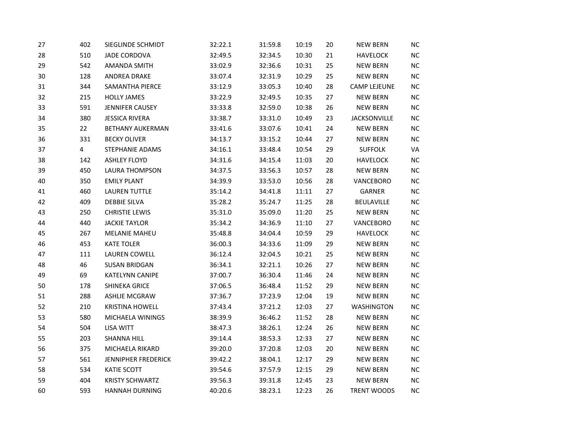| 27 | 402            | SIEGLINDE SCHMIDT       | 32:22.1 | 31:59.8 | 10:19 | 20 | <b>NEW BERN</b>     | NC         |
|----|----------------|-------------------------|---------|---------|-------|----|---------------------|------------|
| 28 | 510            | <b>JADE CORDOVA</b>     | 32:49.5 | 32:34.5 | 10:30 | 21 | <b>HAVELOCK</b>     | NC         |
| 29 | 542            | <b>AMANDA SMITH</b>     | 33:02.9 | 32:36.6 | 10:31 | 25 | <b>NEW BERN</b>     | NC         |
| 30 | 128            | ANDREA DRAKE            | 33:07.4 | 32:31.9 | 10:29 | 25 | <b>NEW BERN</b>     | NC         |
| 31 | 344            | SAMANTHA PIERCE         | 33:12.9 | 33:05.3 | 10:40 | 28 | <b>CAMP LEJEUNE</b> | NC         |
| 32 | 215            | <b>HOLLY JAMES</b>      | 33:22.9 | 32:49.5 | 10:35 | 27 | <b>NEW BERN</b>     | NC.        |
| 33 | 591            | JENNIFER CAUSEY         | 33:33.8 | 32:59.0 | 10:38 | 26 | <b>NEW BERN</b>     | NC         |
| 34 | 380            | <b>JESSICA RIVERA</b>   | 33:38.7 | 33:31.0 | 10:49 | 23 | <b>JACKSONVILLE</b> | NC         |
| 35 | 22             | <b>BETHANY AUKERMAN</b> | 33:41.6 | 33:07.6 | 10:41 | 24 | <b>NEW BERN</b>     | NC         |
| 36 | 331            | <b>BECKY OLIVER</b>     | 34:13.7 | 33:15.2 | 10:44 | 27 | <b>NEW BERN</b>     | NC         |
| 37 | $\overline{4}$ | STEPHANIE ADAMS         | 34:16.1 | 33:48.4 | 10:54 | 29 | <b>SUFFOLK</b>      | VA         |
| 38 | 142            | <b>ASHLEY FLOYD</b>     | 34:31.6 | 34:15.4 | 11:03 | 20 | <b>HAVELOCK</b>     | NC         |
| 39 | 450            | <b>LAURA THOMPSON</b>   | 34:37.5 | 33:56.3 | 10:57 | 28 | <b>NEW BERN</b>     | NC         |
| 40 | 350            | <b>EMILY PLANT</b>      | 34:39.9 | 33:53.0 | 10:56 | 28 | VANCEBORO           | NC         |
| 41 | 460            | <b>LAUREN TUTTLE</b>    | 35:14.2 | 34:41.8 | 11:11 | 27 | GARNER              | NC         |
| 42 | 409            | <b>DEBBIE SILVA</b>     | 35:28.2 | 35:24.7 | 11:25 | 28 | BEULAVILLE          | NC         |
| 43 | 250            | <b>CHRISTIE LEWIS</b>   | 35:31.0 | 35:09.0 | 11:20 | 25 | <b>NEW BERN</b>     | NC         |
| 44 | 440            | <b>JACKIE TAYLOR</b>    | 35:34.2 | 34:36.9 | 11:10 | 27 | VANCEBORO           | NC         |
| 45 | 267            | <b>MELANIE MAHEU</b>    | 35:48.8 | 34:04.4 | 10:59 | 29 | <b>HAVELOCK</b>     | NC         |
| 46 | 453            | <b>KATE TOLER</b>       | 36:00.3 | 34:33.6 | 11:09 | 29 | <b>NEW BERN</b>     | NC         |
| 47 | 111            | <b>LAUREN COWELL</b>    | 36:12.4 | 32:04.5 | 10:21 | 25 | <b>NEW BERN</b>     | ${\sf NC}$ |
| 48 | 46             | <b>SUSAN BRIDGAN</b>    | 36:34.1 | 32:21.1 | 10:26 | 27 | <b>NEW BERN</b>     | NC         |
| 49 | 69             | KATELYNN CANIPE         | 37:00.7 | 36:30.4 | 11:46 | 24 | <b>NEW BERN</b>     | NC         |
| 50 | 178            | SHINEKA GRICE           | 37:06.5 | 36:48.4 | 11:52 | 29 | <b>NEW BERN</b>     | NC         |
| 51 | 288            | <b>ASHLIE MCGRAW</b>    | 37:36.7 | 37:23.9 | 12:04 | 19 | <b>NEW BERN</b>     | NC         |
| 52 | 210            | <b>KRISTINA HOWELL</b>  | 37:43.4 | 37:21.2 | 12:03 | 27 | WASHINGTON          | NC         |
| 53 | 580            | MICHAELA WININGS        | 38:39.9 | 36:46.2 | 11:52 | 28 | <b>NEW BERN</b>     | NC         |
| 54 | 504            | <b>LISA WITT</b>        | 38:47.3 | 38:26.1 | 12:24 | 26 | <b>NEW BERN</b>     | NC.        |
| 55 | 203            | <b>SHANNA HILL</b>      | 39:14.4 | 38:53.3 | 12:33 | 27 | <b>NEW BERN</b>     | NC         |
| 56 | 375            | MICHAELA RIKARD         | 39:20.0 | 37:20.8 | 12:03 | 20 | <b>NEW BERN</b>     | NC         |
| 57 | 561            | JENNIPHER FREDERICK     | 39:42.2 | 38:04.1 | 12:17 | 29 | <b>NEW BERN</b>     | NC         |
| 58 | 534            | KATIE SCOTT             | 39:54.6 | 37:57.9 | 12:15 | 29 | <b>NEW BERN</b>     | ${\sf NC}$ |
| 59 | 404            | <b>KRISTY SCHWARTZ</b>  | 39:56.3 | 39:31.8 | 12:45 | 23 | <b>NEW BERN</b>     | NC         |
| 60 | 593            | <b>HANNAH DURNING</b>   | 40:20.6 | 38:23.1 | 12:23 | 26 | TRENT WOODS         | NC         |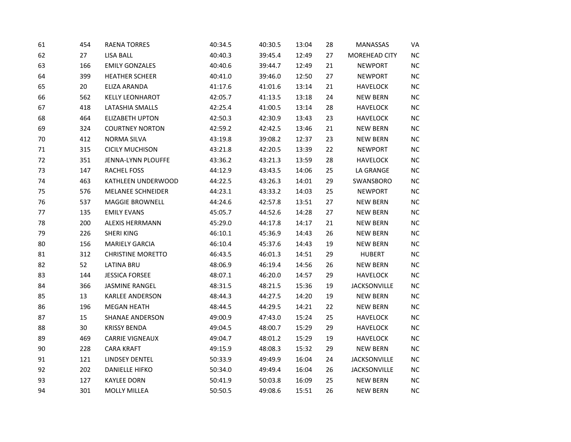| 61 | 454             | <b>RAENA TORRES</b>      | 40:34.5 | 40:30.5 | 13:04 | 28 | MANASSAS            | VA         |
|----|-----------------|--------------------------|---------|---------|-------|----|---------------------|------------|
| 62 | 27              | <b>LISA BALL</b>         | 40:40.3 | 39:45.4 | 12:49 | 27 | MOREHEAD CITY       | <b>NC</b>  |
| 63 | 166             | <b>EMILY GONZALES</b>    | 40:40.6 | 39:44.7 | 12:49 | 21 | <b>NEWPORT</b>      | NC         |
| 64 | 399             | <b>HEATHER SCHEER</b>    | 40:41.0 | 39:46.0 | 12:50 | 27 | <b>NEWPORT</b>      | $NC$       |
| 65 | 20              | ELIZA ARANDA             | 41:17.6 | 41:01.6 | 13:14 | 21 | <b>HAVELOCK</b>     | NC.        |
| 66 | 562             | <b>KELLY LEONHAROT</b>   | 42:05.7 | 41:13.5 | 13:18 | 24 | <b>NEW BERN</b>     | <b>NC</b>  |
| 67 | 418             | LATASHIA SMALLS          | 42:25.4 | 41:00.5 | 13:14 | 28 | <b>HAVELOCK</b>     | $NC$       |
| 68 | 464             | <b>ELIZABETH UPTON</b>   | 42:50.3 | 42:30.9 | 13:43 | 23 | <b>HAVELOCK</b>     | $\sf NC$   |
| 69 | 324             | <b>COURTNEY NORTON</b>   | 42:59.2 | 42:42.5 | 13:46 | 21 | <b>NEW BERN</b>     | ${\sf NC}$ |
| 70 | 412             | <b>NORMA SILVA</b>       | 43:19.8 | 39:08.2 | 12:37 | 23 | <b>NEW BERN</b>     | NC         |
| 71 | 315             | <b>CICILY MUCHISON</b>   | 43:21.8 | 42:20.5 | 13:39 | 22 | <b>NEWPORT</b>      | $NC$       |
| 72 | 351             | JENNA-LYNN PLOUFFE       | 43:36.2 | 43:21.3 | 13:59 | 28 | <b>HAVELOCK</b>     | NC         |
| 73 | 147             | RACHEL FOSS              | 44:12.9 | 43:43.5 | 14:06 | 25 | LA GRANGE           | NC         |
| 74 | 463             | KATHLEEN UNDERWOOD       | 44:22.5 | 43:26.3 | 14:01 | 29 | SWANSBORO           | NC.        |
| 75 | 576             | MELANEE SCHNEIDER        | 44:23.1 | 43:33.2 | 14:03 | 25 | <b>NEWPORT</b>      | NC         |
| 76 | 537             | MAGGIE BROWNELL          | 44:24.6 | 42:57.8 | 13:51 | 27 | <b>NEW BERN</b>     | NC         |
| 77 | 135             | <b>EMILY EVANS</b>       | 45:05.7 | 44:52.6 | 14:28 | 27 | <b>NEW BERN</b>     | $NC$       |
| 78 | 200             | ALEXIS HERRMANN          | 45:29.0 | 44:17.8 | 14:17 | 21 | <b>NEW BERN</b>     | ${\sf NC}$ |
| 79 | 226             | <b>SHERI KING</b>        | 46:10.1 | 45:36.9 | 14:43 | 26 | <b>NEW BERN</b>     | NC         |
| 80 | 156             | <b>MARIELY GARCIA</b>    | 46:10.4 | 45:37.6 | 14:43 | 19 | <b>NEW BERN</b>     | <b>NC</b>  |
| 81 | 312             | <b>CHRISTINE MORETTO</b> | 46:43.5 | 46:01.3 | 14:51 | 29 | <b>HUBERT</b>       | ${\sf NC}$ |
| 82 | 52              | <b>LATINA BRU</b>        | 48:06.9 | 46:19.4 | 14:56 | 26 | <b>NEW BERN</b>     | NC         |
| 83 | 144             | <b>JESSICA FORSEE</b>    | 48:07.1 | 46:20.0 | 14:57 | 29 | <b>HAVELOCK</b>     | $NC$       |
| 84 | 366             | <b>JASMINE RANGEL</b>    | 48:31.5 | 48:21.5 | 15:36 | 19 | <b>JACKSONVILLE</b> | NC         |
| 85 | 13              | KARLEE ANDERSON          | 48:44.3 | 44:27.5 | 14:20 | 19 | <b>NEW BERN</b>     | NC         |
| 86 | 196             | <b>MEGAN HEATH</b>       | 48:44.5 | 44:29.5 | 14:21 | 22 | <b>NEW BERN</b>     | $NC$       |
| 87 | 15              | <b>SHANAE ANDERSON</b>   | 49:00.9 | 47:43.0 | 15:24 | 25 | <b>HAVELOCK</b>     | ${\sf NC}$ |
| 88 | 30 <sup>°</sup> | <b>KRISSY BENDA</b>      | 49:04.5 | 48:00.7 | 15:29 | 29 | <b>HAVELOCK</b>     | $NC$       |
| 89 | 469             | <b>CARRIE VIGNEAUX</b>   | 49:04.7 | 48:01.2 | 15:29 | 19 | <b>HAVELOCK</b>     | <b>NC</b>  |
| 90 | 228             | <b>CARA KRAFT</b>        | 49:15.9 | 48:08.3 | 15:32 | 29 | <b>NEW BERN</b>     | ${\sf NC}$ |
| 91 | 121             | <b>LINDSEY DENTEL</b>    | 50:33.9 | 49:49.9 | 16:04 | 24 | <b>JACKSONVILLE</b> | NC         |
| 92 | 202             | <b>DANIELLE HIFKO</b>    | 50:34.0 | 49:49.4 | 16:04 | 26 | <b>JACKSONVILLE</b> | <b>NC</b>  |
| 93 | 127             | <b>KAYLEE DORN</b>       | 50:41.9 | 50:03.8 | 16:09 | 25 | <b>NEW BERN</b>     | NC         |
| 94 | 301             | <b>MOLLY MILLEA</b>      | 50:50.5 | 49:08.6 | 15:51 | 26 | <b>NEW BERN</b>     | NC         |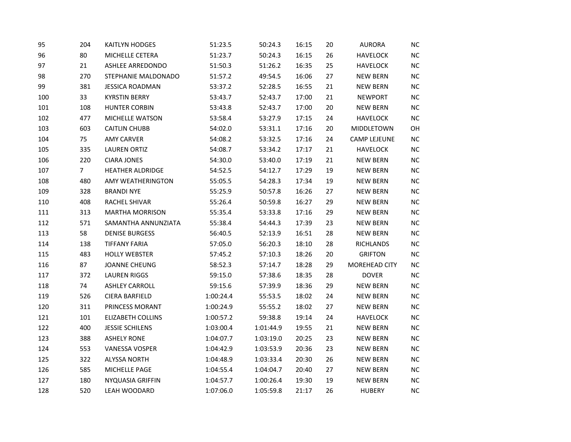| 95  | 204            | <b>KAITLYN HODGES</b>    | 51:23.5   | 50:24.3   | 16:15 | 20 | <b>AURORA</b>       | <b>NC</b>  |
|-----|----------------|--------------------------|-----------|-----------|-------|----|---------------------|------------|
| 96  | 80             | MICHELLE CETERA          | 51:23.7   | 50:24.3   | 16:15 | 26 | <b>HAVELOCK</b>     | NC         |
| 97  | 21             | ASHLEE ARREDONDO         | 51:50.3   | 51:26.2   | 16:35 | 25 | <b>HAVELOCK</b>     | ${\sf NC}$ |
| 98  | 270            | STEPHANIE MALDONADO      | 51:57.2   | 49:54.5   | 16:06 | 27 | <b>NEW BERN</b>     | NC         |
| 99  | 381            | <b>JESSICA ROADMAN</b>   | 53:37.2   | 52:28.5   | 16:55 | 21 | <b>NEW BERN</b>     | NC         |
| 100 | 33             | <b>KYRSTIN BERRY</b>     | 53:43.7   | 52:43.7   | 17:00 | 21 | <b>NEWPORT</b>      | <b>NC</b>  |
| 101 | 108            | <b>HUNTER CORBIN</b>     | 53:43.8   | 52:43.7   | 17:00 | 20 | <b>NEW BERN</b>     | NC         |
| 102 | 477            | MICHELLE WATSON          | 53:58.4   | 53:27.9   | 17:15 | 24 | <b>HAVELOCK</b>     | NC         |
| 103 | 603            | <b>CAITLIN CHUBB</b>     | 54:02.0   | 53:31.1   | 17:16 | 20 | MIDDLETOWN          | OH         |
| 104 | 75             | <b>AMY CARVER</b>        | 54:08.2   | 53:32.5   | 17:16 | 24 | <b>CAMP LEJEUNE</b> | NC         |
| 105 | 335            | <b>LAUREN ORTIZ</b>      | 54:08.7   | 53:34.2   | 17:17 | 21 | <b>HAVELOCK</b>     | NC         |
| 106 | 220            | <b>CIARA JONES</b>       | 54:30.0   | 53:40.0   | 17:19 | 21 | <b>NEW BERN</b>     | $NC$       |
| 107 | 7 <sup>7</sup> | <b>HEATHER ALDRIDGE</b>  | 54:52.5   | 54:12.7   | 17:29 | 19 | <b>NEW BERN</b>     | ${\sf NC}$ |
| 108 | 480            | AMY WEATHERINGTON        | 55:05.5   | 54:28.3   | 17:34 | 19 | <b>NEW BERN</b>     | NC         |
| 109 | 328            | <b>BRANDI NYE</b>        | 55:25.9   | 50:57.8   | 16:26 | 27 | <b>NEW BERN</b>     | NC         |
| 110 | 408            | RACHEL SHIVAR            | 55:26.4   | 50:59.8   | 16:27 | 29 | <b>NEW BERN</b>     | ${\sf NC}$ |
| 111 | 313            | <b>MARTHA MORRISON</b>   | 55:35.4   | 53:33.8   | 17:16 | 29 | <b>NEW BERN</b>     | NC         |
| 112 | 571            | SAMANTHA ANNUNZIATA      | 55:38.4   | 54:44.3   | 17:39 | 23 | <b>NEW BERN</b>     | $\sf NC$   |
| 113 | 58             | <b>DENISE BURGESS</b>    | 56:40.5   | 52:13.9   | 16:51 | 28 | <b>NEW BERN</b>     | NC         |
| 114 | 138            | <b>TIFFANY FARIA</b>     | 57:05.0   | 56:20.3   | 18:10 | 28 | RICHLANDS           | <b>NC</b>  |
| 115 | 483            | <b>HOLLY WEBSTER</b>     | 57:45.2   | 57:10.3   | 18:26 | 20 | <b>GRIFTON</b>      | NC         |
| 116 | 87             | <b>JOANNE CHEUNG</b>     | 58:52.3   | 57:14.7   | 18:28 | 29 | MOREHEAD CITY       | NC         |
| 117 | 372            | <b>LAUREN RIGGS</b>      | 59:15.0   | 57:38.6   | 18:35 | 28 | <b>DOVER</b>        | ${\sf NC}$ |
| 118 | 74             | <b>ASHLEY CARROLL</b>    | 59:15.6   | 57:39.9   | 18:36 | 29 | <b>NEW BERN</b>     | NC         |
| 119 | 526            | <b>CIERA BARFIELD</b>    | 1:00:24.4 | 55:53.5   | 18:02 | 24 | <b>NEW BERN</b>     | NC         |
| 120 | 311            | PRINCESS MORANT          | 1:00:24.9 | 55:55.2   | 18:02 | 27 | <b>NEW BERN</b>     | NC         |
| 121 | 101            | <b>ELIZABETH COLLINS</b> | 1:00:57.2 | 59:38.8   | 19:14 | 24 | <b>HAVELOCK</b>     | NC         |
| 122 | 400            | <b>JESSIE SCHILENS</b>   | 1:03:00.4 | 1:01:44.9 | 19:55 | 21 | <b>NEW BERN</b>     | NC         |
| 123 | 388            | <b>ASHELY RONE</b>       | 1:04:07.7 | 1:03:19.0 | 20:25 | 23 | <b>NEW BERN</b>     | ${\sf NC}$ |
| 124 | 553            | VANESSA VOSPER           | 1:04:42.9 | 1:03:53.9 | 20:36 | 23 | <b>NEW BERN</b>     | ${\sf NC}$ |
| 125 | 322            | <b>ALYSSA NORTH</b>      | 1:04:48.9 | 1:03:33.4 | 20:30 | 26 | <b>NEW BERN</b>     | NC         |
| 126 | 585            | MICHELLE PAGE            | 1:04:55.4 | 1:04:04.7 | 20:40 | 27 | <b>NEW BERN</b>     | ${\sf NC}$ |
| 127 | 180            | NYQUASIA GRIFFIN         | 1:04:57.7 | 1:00:26.4 | 19:30 | 19 | <b>NEW BERN</b>     | NC         |
| 128 | 520            | LEAH WOODARD             | 1:07:06.0 | 1:05:59.8 | 21:17 | 26 | <b>HUBERY</b>       | NC         |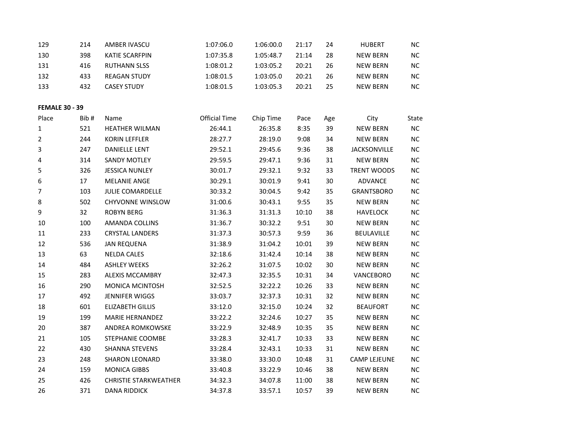| 129 | 214 | AMBER IVASCU        | 1:07:06.0 | 1:06:00.0 | 21:17 | 24 | <b>HUBERT</b> | NC.       |
|-----|-----|---------------------|-----------|-----------|-------|----|---------------|-----------|
| 130 | 398 | KATIE SCARFPIN      | 1:07:35.8 | 1:05:48.7 | 21:14 | 28 | NEW BERN      | NC.       |
| 131 | 416 | <b>RUTHANN SLSS</b> | 1:08:01.2 | 1:03:05.2 | 20:21 | 26 | NFW BFRN      | NC.       |
| 132 | 433 | <b>REAGAN STUDY</b> | 1:08:01.5 | 1:03:05.0 | 20:21 | 26 | NEW BERN      | <b>NC</b> |
| 133 | 432 | <b>CASEY STUDY</b>  | 1:08:01.5 | 1:03:05.3 | 20:21 | 25 | NEW BERN      | NC.       |

# **FEMALE 30 - 39**<br>Place Rib # Name

| Place | Bib# | Name                         | <b>Official Time</b> | Chip Time | Pace  | Age | City                | State     |
|-------|------|------------------------------|----------------------|-----------|-------|-----|---------------------|-----------|
| 1     | 521  | <b>HEATHER WILMAN</b>        | 26:44.1              | 26:35.8   | 8:35  | 39  | <b>NEW BERN</b>     | <b>NC</b> |
| 2     | 244  | <b>KORIN LEFFLER</b>         | 28:27.7              | 28:19.0   | 9:08  | 34  | <b>NEW BERN</b>     | NC        |
| 3     | 247  | <b>DANIELLE LENT</b>         | 29:52.1              | 29:45.6   | 9:36  | 38  | <b>JACKSONVILLE</b> | NC.       |
| 4     | 314  | <b>SANDY MOTLEY</b>          | 29:59.5              | 29:47.1   | 9:36  | 31  | <b>NEW BERN</b>     | <b>NC</b> |
| 5     | 326  | <b>JESSICA NUNLEY</b>        | 30:01.7              | 29:32.1   | 9:32  | 33  | <b>TRENT WOODS</b>  | <b>NC</b> |
| 6     | 17   | <b>MELANIE ANGE</b>          | 30:29.1              | 30:01.9   | 9:41  | 30  | <b>ADVANCE</b>      | NC        |
| 7     | 103  | <b>JULIE COMARDELLE</b>      | 30:33.2              | 30:04.5   | 9:42  | 35  | <b>GRANTSBORO</b>   | NC        |
| 8     | 502  | <b>CHYVONNE WINSLOW</b>      | 31:00.6              | 30:43.1   | 9:55  | 35  | NEW BERN            | <b>NC</b> |
| 9     | 32   | <b>ROBYN BERG</b>            | 31:36.3              | 31:31.3   | 10:10 | 38  | <b>HAVELOCK</b>     | NC        |
| 10    | 100  | <b>AMANDA COLLINS</b>        | 31:36.7              | 30:32.2   | 9:51  | 30  | <b>NEW BERN</b>     | <b>NC</b> |
| 11    | 233  | <b>CRYSTAL LANDERS</b>       | 31:37.3              | 30:57.3   | 9:59  | 36  | <b>BEULAVILLE</b>   | NC        |
| 12    | 536  | <b>JAN REQUENA</b>           | 31:38.9              | 31:04.2   | 10:01 | 39  | <b>NEW BERN</b>     | <b>NC</b> |
| 13    | 63   | <b>NELDA CALES</b>           | 32:18.6              | 31:42.4   | 10:14 | 38  | <b>NEW BERN</b>     | NC        |
| 14    | 484  | <b>ASHLEY WEEKS</b>          | 32:26.2              | 31:07.5   | 10:02 | 30  | <b>NEW BERN</b>     | NC.       |
| 15    | 283  | <b>ALEXIS MCCAMBRY</b>       | 32:47.3              | 32:35.5   | 10:31 | 34  | <b>VANCEBORO</b>    | NC        |
| 16    | 290  | <b>MONICA MCINTOSH</b>       | 32:52.5              | 32:22.2   | 10:26 | 33  | <b>NEW BERN</b>     | <b>NC</b> |
| 17    | 492  | <b>JENNIFER WIGGS</b>        | 33:03.7              | 32:37.3   | 10:31 | 32  | <b>NEW BERN</b>     | NC.       |
| 18    | 601  | <b>ELIZABETH GILLIS</b>      | 33:12.0              | 32:15.0   | 10:24 | 32  | <b>BEAUFORT</b>     | <b>NC</b> |
| 19    | 199  | <b>MARIE HERNANDEZ</b>       | 33:22.2              | 32:24.6   | 10:27 | 35  | <b>NEW BERN</b>     | NC        |
| 20    | 387  | ANDREA ROMKOWSKE             | 33:22.9              | 32:48.9   | 10:35 | 35  | <b>NEW BERN</b>     | <b>NC</b> |
| 21    | 105  | STEPHANIE COOMBE             | 33:28.3              | 32:41.7   | 10:33 | 33  | <b>NEW BERN</b>     | NC.       |
| 22    | 430  | <b>SHANNA STEVENS</b>        | 33:28.4              | 32:43.1   | 10:33 | 31  | <b>NEW BERN</b>     | NC        |
| 23    | 248  | <b>SHARON LEONARD</b>        | 33:38.0              | 33:30.0   | 10:48 | 31  | <b>CAMP LEJEUNE</b> | NC.       |
| 24    | 159  | <b>MONICA GIBBS</b>          | 33:40.8              | 33:22.9   | 10:46 | 38  | <b>NEW BERN</b>     | NC        |
| 25    | 426  | <b>CHRISTIE STARKWEATHER</b> | 34:32.3              | 34:07.8   | 11:00 | 38  | <b>NEW BERN</b>     | <b>NC</b> |
| 26    | 371  | <b>DANA RIDDICK</b>          | 34:37.8              | 33:57.1   | 10:57 | 39  | <b>NEW BERN</b>     | NC        |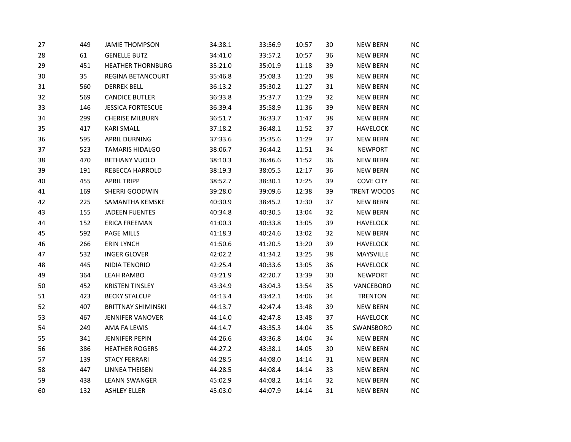| 27 | 449 | <b>JAMIE THOMPSON</b>     | 34:38.1 | 33:56.9 | 10:57 | 30 | <b>NEW BERN</b>  | NC         |
|----|-----|---------------------------|---------|---------|-------|----|------------------|------------|
| 28 | 61  | <b>GENELLE BUTZ</b>       | 34:41.0 | 33:57.2 | 10:57 | 36 | <b>NEW BERN</b>  | NC         |
| 29 | 451 | <b>HEATHER THORNBURG</b>  | 35:21.0 | 35:01.9 | 11:18 | 39 | <b>NEW BERN</b>  | ${\sf NC}$ |
| 30 | 35  | REGINA BETANCOURT         | 35:46.8 | 35:08.3 | 11:20 | 38 | <b>NEW BERN</b>  | NC         |
| 31 | 560 | <b>DERREK BELL</b>        | 36:13.2 | 35:30.2 | 11:27 | 31 | <b>NEW BERN</b>  | NC         |
| 32 | 569 | <b>CANDICE BUTLER</b>     | 36:33.8 | 35:37.7 | 11:29 | 32 | <b>NEW BERN</b>  | <b>NC</b>  |
| 33 | 146 | <b>JESSICA FORTESCUE</b>  | 36:39.4 | 35:58.9 | 11:36 | 39 | <b>NEW BERN</b>  | $NC$       |
| 34 | 299 | <b>CHERISE MILBURN</b>    | 36:51.7 | 36:33.7 | 11:47 | 38 | <b>NEW BERN</b>  | NC         |
| 35 | 417 | <b>KARI SMALL</b>         | 37:18.2 | 36:48.1 | 11:52 | 37 | <b>HAVELOCK</b>  | ${\sf NC}$ |
| 36 | 595 | <b>APRIL DURNING</b>      | 37:33.6 | 35:35.6 | 11:29 | 37 | <b>NEW BERN</b>  | NC         |
| 37 | 523 | <b>TAMARIS HIDALGO</b>    | 38:06.7 | 36:44.2 | 11:51 | 34 | <b>NEWPORT</b>   | NC         |
| 38 | 470 | <b>BETHANY VUOLO</b>      | 38:10.3 | 36:46.6 | 11:52 | 36 | <b>NEW BERN</b>  | $NC$       |
| 39 | 191 | REBECCA HARROLD           | 38:19.3 | 38:05.5 | 12:17 | 36 | <b>NEW BERN</b>  | ${\sf NC}$ |
| 40 | 455 | <b>APRIL TRIPP</b>        | 38:52.7 | 38:30.1 | 12:25 | 39 | <b>COVE CITY</b> | $NC$       |
| 41 | 169 | SHERRI GOODWIN            | 39:28.0 | 39:09.6 | 12:38 | 39 | TRENT WOODS      | NC         |
| 42 | 225 | SAMANTHA KEMSKE           | 40:30.9 | 38:45.2 | 12:30 | 37 | <b>NEW BERN</b>  | ${\sf NC}$ |
| 43 | 155 | <b>JADEEN FUENTES</b>     | 40:34.8 | 40:30.5 | 13:04 | 32 | <b>NEW BERN</b>  | NC         |
| 44 | 152 | <b>ERICA FREEMAN</b>      | 41:00.3 | 40:33.8 | 13:05 | 39 | <b>HAVELOCK</b>  | $NC$       |
| 45 | 592 | <b>PAGE MILLS</b>         | 41:18.3 | 40:24.6 | 13:02 | 32 | <b>NEW BERN</b>  | ${\sf NC}$ |
| 46 | 266 | <b>ERIN LYNCH</b>         | 41:50.6 | 41:20.5 | 13:20 | 39 | HAVELOCK         | ${\sf NC}$ |
| 47 | 532 | <b>INGER GLOVER</b>       | 42:02.2 | 41:34.2 | 13:25 | 38 | MAYSVILLE        | $NC$       |
| 48 | 445 | NIDIA TENORIO             | 42:25.4 | 40:33.6 | 13:05 | 36 | <b>HAVELOCK</b>  | NC         |
| 49 | 364 | <b>LEAH RAMBO</b>         | 43:21.9 | 42:20.7 | 13:39 | 30 | <b>NEWPORT</b>   | ${\sf NC}$ |
| 50 | 452 | <b>KRISTEN TINSLEY</b>    | 43:34.9 | 43:04.3 | 13:54 | 35 | VANCEBORO        | NC         |
| 51 | 423 | <b>BECKY STALCUP</b>      | 44:13.4 | 43:42.1 | 14:06 | 34 | <b>TRENTON</b>   | NC         |
| 52 | 407 | <b>BRITTNAY SHIMINSKI</b> | 44:13.7 | 42:47.4 | 13:48 | 39 | <b>NEW BERN</b>  | ${\sf NC}$ |
| 53 | 467 | <b>JENNIFER VANOVER</b>   | 44:14.0 | 42:47.8 | 13:48 | 37 | <b>HAVELOCK</b>  | NC         |
| 54 | 249 | AMA FA LEWIS              | 44:14.7 | 43:35.3 | 14:04 | 35 | SWANSBORO        | $NC$       |
| 55 | 341 | <b>JENNIFER PEPIN</b>     | 44:26.6 | 43:36.8 | 14:04 | 34 | <b>NEW BERN</b>  | ${\sf NC}$ |
| 56 | 386 | <b>HEATHER ROGERS</b>     | 44:27.2 | 43:38.1 | 14:05 | 30 | <b>NEW BERN</b>  | ${\sf NC}$ |
| 57 | 139 | <b>STACY FERRARI</b>      | 44:28.5 | 44:08.0 | 14:14 | 31 | <b>NEW BERN</b>  | NC         |
| 58 | 447 | <b>LINNEA THEISEN</b>     | 44:28.5 | 44:08.4 | 14:14 | 33 | <b>NEW BERN</b>  | <b>NC</b>  |
| 59 | 438 | <b>LEANN SWANGER</b>      | 45:02.9 | 44:08.2 | 14:14 | 32 | <b>NEW BERN</b>  | NC         |
| 60 | 132 | <b>ASHLEY ELLER</b>       | 45:03.0 | 44:07.9 | 14:14 | 31 | <b>NEW BERN</b>  | NC         |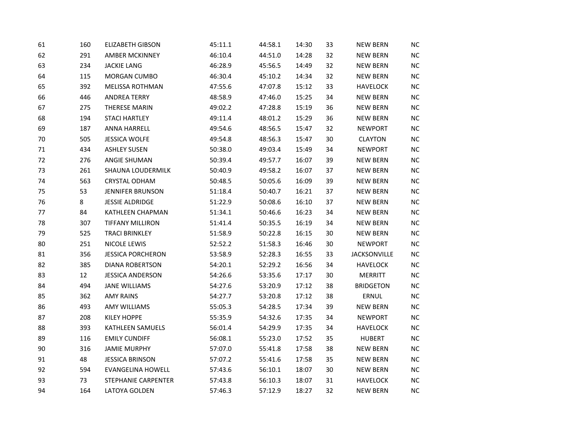| 61 | 160 | <b>ELIZABETH GIBSON</b>  | 45:11.1 | 44:58.1 | 14:30 | 33 | <b>NEW BERN</b>  | <b>NC</b>  |
|----|-----|--------------------------|---------|---------|-------|----|------------------|------------|
| 62 | 291 | <b>AMBER MCKINNEY</b>    | 46:10.4 | 44:51.0 | 14:28 | 32 | <b>NEW BERN</b>  | <b>NC</b>  |
| 63 | 234 | <b>JACKIE LANG</b>       | 46:28.9 | 45:56.5 | 14:49 | 32 | <b>NEW BERN</b>  | NC         |
| 64 | 115 | MORGAN CUMBO             | 46:30.4 | 45:10.2 | 14:34 | 32 | <b>NEW BERN</b>  | ${\sf NC}$ |
| 65 | 392 | MELISSA ROTHMAN          | 47:55.6 | 47:07.8 | 15:12 | 33 | <b>HAVELOCK</b>  | <b>NC</b>  |
| 66 | 446 | <b>ANDREA TERRY</b>      | 48:58.9 | 47:46.0 | 15:25 | 34 | <b>NEW BERN</b>  | <b>NC</b>  |
| 67 | 275 | THERESE MARIN            | 49:02.2 | 47:28.8 | 15:19 | 36 | <b>NEW BERN</b>  | $NC$       |
| 68 | 194 | <b>STACI HARTLEY</b>     | 49:11.4 | 48:01.2 | 15:29 | 36 | <b>NEW BERN</b>  | ${\sf NC}$ |
| 69 | 187 | ANNA HARRELL             | 49:54.6 | 48:56.5 | 15:47 | 32 | <b>NEWPORT</b>   | NC         |
| 70 | 505 | <b>JESSICA WOLFE</b>     | 49:54.8 | 48:56.3 | 15:47 | 30 | <b>CLAYTON</b>   | NC         |
| 71 | 434 | <b>ASHLEY SUSEN</b>      | 50:38.0 | 49:03.4 | 15:49 | 34 | <b>NEWPORT</b>   | $\sf NC$   |
| 72 | 276 | <b>ANGIE SHUMAN</b>      | 50:39.4 | 49:57.7 | 16:07 | 39 | <b>NEW BERN</b>  | NC         |
| 73 | 261 | SHAUNA LOUDERMILK        | 50:40.9 | 49:58.2 | 16:07 | 37 | <b>NEW BERN</b>  | NC         |
| 74 | 563 | <b>CRYSTAL ODHAM</b>     | 50:48.5 | 50:05.6 | 16:09 | 39 | <b>NEW BERN</b>  | <b>NC</b>  |
| 75 | 53  | <b>JENNIFER BRUNSON</b>  | 51:18.4 | 50:40.7 | 16:21 | 37 | <b>NEW BERN</b>  | NC         |
| 76 | 8   | <b>JESSIE ALDRIDGE</b>   | 51:22.9 | 50:08.6 | 16:10 | 37 | <b>NEW BERN</b>  | NC         |
| 77 | 84  | KATHLEEN CHAPMAN         | 51:34.1 | 50:46.6 | 16:23 | 34 | <b>NEW BERN</b>  | ${\sf NC}$ |
| 78 | 307 | <b>TIFFANY MILLIRON</b>  | 51:41.4 | 50:35.5 | 16:19 | 34 | <b>NEW BERN</b>  | NC         |
| 79 | 525 | <b>TRACI BRINKLEY</b>    | 51:58.9 | 50:22.8 | 16:15 | 30 | <b>NEW BERN</b>  | $NC$       |
| 80 | 251 | NICOLE LEWIS             | 52:52.2 | 51:58.3 | 16:46 | 30 | <b>NEWPORT</b>   | <b>NC</b>  |
| 81 | 356 | <b>JESSICA PORCHERON</b> | 53:58.9 | 52:28.3 | 16:55 | 33 | JACKSONVILLE     | NC         |
| 82 | 385 | <b>DIANA ROBERTSON</b>   | 54:20.1 | 52:29.2 | 16:56 | 34 | <b>HAVELOCK</b>  | NC         |
| 83 | 12  | <b>JESSICA ANDERSON</b>  | 54:26.6 | 53:35.6 | 17:17 | 30 | MERRITT          | <b>NC</b>  |
| 84 | 494 | <b>JANE WILLIAMS</b>     | 54:27.6 | 53:20.9 | 17:12 | 38 | <b>BRIDGETON</b> | NC         |
| 85 | 362 | <b>AMY RAINS</b>         | 54:27.7 | 53:20.8 | 17:12 | 38 | ERNUL            | NC         |
| 86 | 493 | <b>AMY WILLIAMS</b>      | 55:05.3 | 54:28.5 | 17:34 | 39 | <b>NEW BERN</b>  | <b>NC</b>  |
| 87 | 208 | <b>KILEY HOPPE</b>       | 55:35.9 | 54:32.6 | 17:35 | 34 | <b>NEWPORT</b>   | NC         |
| 88 | 393 | KATHLEEN SAMUELS         | 56:01.4 | 54:29.9 | 17:35 | 34 | <b>HAVELOCK</b>  | $NC$       |
| 89 | 116 | <b>EMILY CUNDIFF</b>     | 56:08.1 | 55:23.0 | 17:52 | 35 | <b>HUBERT</b>    | <b>NC</b>  |
| 90 | 316 | <b>JAMIE MURPHY</b>      | 57:07.0 | 55:41.8 | 17:58 | 38 | <b>NEW BERN</b>  | ${\sf NC}$ |
| 91 | 48  | <b>JESSICA BRINSON</b>   | 57:07.2 | 55:41.6 | 17:58 | 35 | <b>NEW BERN</b>  | NC         |
| 92 | 594 | <b>EVANGELINA HOWELL</b> | 57:43.6 | 56:10.1 | 18:07 | 30 | <b>NEW BERN</b>  | <b>NC</b>  |
| 93 | 73  | STEPHANIE CARPENTER      | 57:43.8 | 56:10.3 | 18:07 | 31 | <b>HAVELOCK</b>  | NC         |
| 94 | 164 | <b>LATOYA GOLDEN</b>     | 57:46.3 | 57:12.9 | 18:27 | 32 | <b>NEW BERN</b>  | NC         |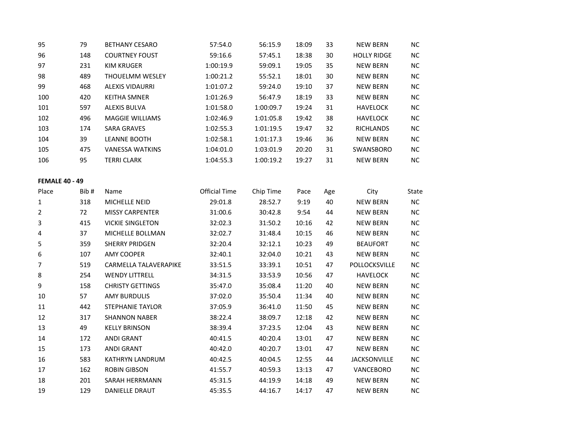| 95                    | 79   | <b>BETHANY CESARO</b>   | 57:54.0              | 56:15.9   | 18:09 | 33  | <b>NEW BERN</b>    | <b>NC</b>  |
|-----------------------|------|-------------------------|----------------------|-----------|-------|-----|--------------------|------------|
| 96                    | 148  | <b>COURTNEY FOUST</b>   | 59:16.6              | 57:45.1   | 18:38 | 30  | <b>HOLLY RIDGE</b> | NC         |
| 97                    | 231  | <b>KIM KRUGER</b>       | 1:00:19.9            | 59:09.1   | 19:05 | 35  | <b>NEW BERN</b>    | NC         |
| 98                    | 489  | THOUELMM WESLEY         | 1:00:21.2            | 55:52.1   | 18:01 | 30  | <b>NEW BERN</b>    | NC         |
| 99                    | 468  | <b>ALEXIS VIDAURRI</b>  | 1:01:07.2            | 59:24.0   | 19:10 | 37  | <b>NEW BERN</b>    | $\sf NC$   |
| 100                   | 420  | <b>KEITHA SMNER</b>     | 1:01:26.9            | 56:47.9   | 18:19 | 33  | <b>NEW BERN</b>    | NC         |
| 101                   | 597  | <b>ALEXIS BULVA</b>     | 1:01:58.0            | 1:00:09.7 | 19:24 | 31  | <b>HAVELOCK</b>    | ${\sf NC}$ |
| 102                   | 496  | <b>MAGGIE WILLIAMS</b>  | 1:02:46.9            | 1:01:05.8 | 19:42 | 38  | <b>HAVELOCK</b>    | NC         |
| 103                   | 174  | <b>SARA GRAVES</b>      | 1:02:55.3            | 1:01:19.5 | 19:47 | 32  | <b>RICHLANDS</b>   | <b>NC</b>  |
| 104                   | 39   | <b>LEANNE BOOTH</b>     | 1:02:58.1            | 1:01:17.3 | 19:46 | 36  | <b>NEW BERN</b>    | ${\sf NC}$ |
| 105                   | 475  | <b>VANESSA WATKINS</b>  | 1:04:01.0            | 1:03:01.9 | 20:20 | 31  | SWANSBORO          | $\sf NC$   |
| 106                   | 95   | <b>TERRI CLARK</b>      | 1:04:55.3            | 1:00:19.2 | 19:27 | 31  | <b>NEW BERN</b>    | NC         |
|                       |      |                         |                      |           |       |     |                    |            |
| <b>FEMALE 40 - 49</b> |      |                         |                      |           |       |     |                    |            |
| Place                 | Bib# | Name                    | <b>Official Time</b> | Chip Time | Pace  | Age | City               | State      |
| $1\,$                 | 318  | MICHELLE NEID           | 29:01.8              | 28:52.7   | 9:19  | 40  | <b>NEW BERN</b>    | ${\sf NC}$ |
| $\overline{2}$        | 72   | <b>MISSY CARPENTER</b>  | 31:00.6              | 30:42.8   | 9:54  | 44  | <b>NEW BERN</b>    | NC         |
| 3                     | 415  | <b>VICKIE SINGLETON</b> | 32:02.3              | 31:50.2   | 10:16 | 42  | <b>NEW BERN</b>    | NC         |
| 4                     | 37   | MICHELLE BOLLMAN        | 32:02.7              | 31:48.4   | 10:15 | 46  | <b>NEW BERN</b>    | NC         |
| 5                     | 359  | <b>SHERRY PRIDGEN</b>   | 32:20.4              | 32:12.1   | 10:23 | 49  | <b>BEAUFORT</b>    | ${\sf NC}$ |
| 6                     | 107  | <b>AMY COOPER</b>       | 32:40.1              | 32:04.0   | 10:21 | 43  | <b>NEW BERN</b>    | NC         |
| $\overline{7}$        | 519  | CARMELLA TALAVERAPIKE   | 33:51.5              | 33:39.1   | 10:51 | 47  | POLLOCKSVILLE      | NC         |
| $\bf 8$               | 254  | <b>WENDY LITTRELL</b>   | 34:31.5              | 33:53.9   | 10:56 | 47  | <b>HAVELOCK</b>    | NC         |
| 9                     | 158  | <b>CHRISTY GETTINGS</b> | 35:47.0              | 35:08.4   | 11:20 | 40  | <b>NEW BERN</b>    | <b>NC</b>  |
| 10                    | 57   | <b>AMY BURDULIS</b>     | 37:02.0              | 35:50.4   | 11:34 | 40  | <b>NEW BERN</b>    | NC         |
| 11                    | 442  | <b>STEPHANIE TAYLOR</b> | 37:05.9              | 36:41.0   | 11:50 | 45  | <b>NEW BERN</b>    | $NC$       |
| 12                    | 317  | <b>SHANNON NABER</b>    | 38:22.4              | 38:09.7   | 12:18 | 42  | <b>NEW BERN</b>    | NC         |
| 13                    | 49   | <b>KELLY BRINSON</b>    | 38:39.4              | 37:23.5   | 12:04 | 43  | <b>NEW BERN</b>    | $NC$       |
| 14                    | 172  | <b>ANDI GRANT</b>       | 40:41.5              | 40:20.4   | 13:01 | 47  | <b>NEW BERN</b>    | ${\sf NC}$ |
| 15                    | 173  | <b>ANDI GRANT</b>       | 40:42.0              | 40:20.7   | 13:01 | 47  | <b>NEW BERN</b>    | NC         |
| 16                    | 583  | KATHRYN LANDRUM         | 40:42.5              | 40:04.5   | 12:55 | 44  | JACKSONVILLE       | <b>NC</b>  |
| 17                    | 162  | <b>ROBIN GIBSON</b>     | 41:55.7              | 40:59.3   | 13:13 | 47  | VANCEBORO          | NC         |
| 18                    | 201  | SARAH HERRMANN          | 45:31.5              | 44:19.9   | 14:18 | 49  | <b>NEW BERN</b>    | NC         |
| 19                    | 129  | <b>DANIELLE DRAUT</b>   | 45:35.5              | 44:16.7   | 14:17 | 47  | <b>NEW BERN</b>    | NC         |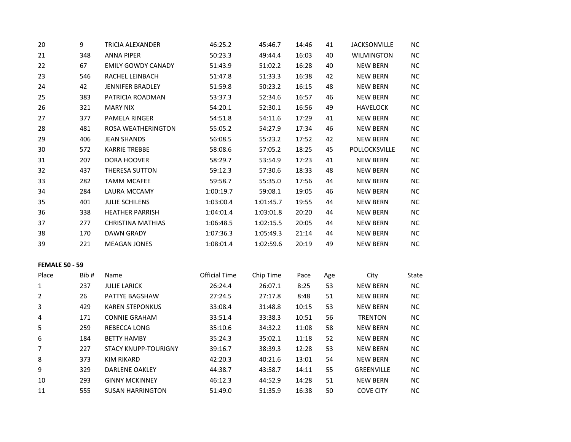| 20                             | 9    | TRICIA ALEXANDER            | 46:25.2              | 45:46.7   | 14:46 | 41        | <b>JACKSONVILLE</b> | NC         |
|--------------------------------|------|-----------------------------|----------------------|-----------|-------|-----------|---------------------|------------|
| 21                             | 348  | <b>ANNA PIPER</b>           | 50:23.3              | 49:44.4   | 16:03 | 40        | WILMINGTON          | <b>NC</b>  |
| 22                             | 67   | <b>EMILY GOWDY CANADY</b>   | 51:43.9              | 51:02.2   | 16:28 | 40        | <b>NEW BERN</b>     | NC         |
| 23                             | 546  | RACHEL LEINBACH             | 51:47.8              | 51:33.3   | 16:38 | 42        | <b>NEW BERN</b>     | $NC$       |
| 24                             | 42   | JENNIFER BRADLEY            | 51:59.8              | 50:23.2   | 16:15 | 48        | <b>NEW BERN</b>     | <b>NC</b>  |
| 25                             | 383  | PATRICIA ROADMAN            | 53:37.3              | 52:34.6   | 16:57 | 46        | <b>NEW BERN</b>     | <b>NC</b>  |
| 26                             | 321  | <b>MARY NIX</b>             | 54:20.1              | 52:30.1   | 16:56 | 49        | <b>HAVELOCK</b>     | $NC$       |
| 27                             | 377  | PAMELA RINGER               | 54:51.8              | 54:11.6   | 17:29 | 41        | <b>NEW BERN</b>     | <b>NC</b>  |
| 28                             | 481  | ROSA WEATHERINGTON          | 55:05.2              | 54:27.9   | 17:34 | 46        | <b>NEW BERN</b>     | $NC$       |
| 29                             | 406  | <b>JEAN SHANDS</b>          | 56:08.5              | 55:23.2   | 17:52 | 42        | <b>NEW BERN</b>     | NC         |
| 30                             | 572  | <b>KARRIE TREBBE</b>        | 58:08.6              | 57:05.2   | 18:25 | 45        | POLLOCKSVILLE       | <b>NC</b>  |
| 31                             | 207  | DORA HOOVER                 | 58:29.7              | 53:54.9   | 17:23 | 41        | <b>NEW BERN</b>     | <b>NC</b>  |
| 32                             | 437  | THERESA SUTTON              | 59:12.3              | 57:30.6   | 18:33 | 48        | <b>NEW BERN</b>     | $NC$       |
| 33                             | 282  | <b>TAMM MCAFEE</b>          | 59:58.7              | 55:35.0   | 17:56 | 44        | <b>NEW BERN</b>     | <b>NC</b>  |
| 34                             | 284  | LAURA MCCAMY                | 1:00:19.7            | 59:08.1   | 19:05 | 46        | <b>NEW BERN</b>     | ${\sf NC}$ |
| 35                             | 401  | <b>JULIE SCHILENS</b>       | 1:03:00.4            | 1:01:45.7 | 19:55 | 44        | <b>NEW BERN</b>     | $NC$       |
| 36                             | 338  | <b>HEATHER PARRISH</b>      | 1:04:01.4            | 1:03:01.8 | 20:20 | 44        | <b>NEW BERN</b>     | <b>NC</b>  |
| 37                             | 277  | <b>CHRISTINA MATHIAS</b>    | 1:06:48.5            | 1:02:15.5 | 20:05 | 44        | <b>NEW BERN</b>     | $NC$       |
| 38                             | 170  | <b>DAWN GRADY</b>           | 1:07:36.3            | 1:05:49.3 | 21:14 | 44        | <b>NEW BERN</b>     | NC         |
| 39                             | 221  | <b>MEAGAN JONES</b>         | 1:08:01.4            | 1:02:59.6 | 20:19 | 49        | <b>NEW BERN</b>     | <b>NC</b>  |
|                                |      |                             |                      |           |       |           |                     |            |
| <b>FEMALE 50 - 59</b><br>Place | Bib# | Name                        | <b>Official Time</b> | Chip Time | Pace  |           | City                | State      |
| 1                              | 237  | <b>JULIE LARICK</b>         | 26:24.4              | 26:07.1   | 8:25  | Age<br>53 | <b>NEW BERN</b>     | ${\sf NC}$ |
| $\overline{2}$                 | 26   | PATTYE BAGSHAW              | 27:24.5              | 27:17.8   | 8:48  | 51        | <b>NEW BERN</b>     | $NC$       |
| 3                              | 429  | <b>KAREN STEPONKUS</b>      | 33:08.4              | 31:48.8   | 10:15 | 53        | <b>NEW BERN</b>     | NC         |
| 4                              | 171  | <b>CONNIE GRAHAM</b>        | 33:51.4              | 33:38.3   | 10:51 | 56        | <b>TRENTON</b>      | ${\sf NC}$ |
| 5                              | 259  | REBECCA LONG                | 35:10.6              | 34:32.2   | 11:08 | 58        | <b>NEW BERN</b>     | $NC$       |
| $\boldsymbol{6}$               | 184  | <b>BETTY HAMBY</b>          | 35:24.3              | 35:02.1   | 11:18 | 52        | <b>NEW BERN</b>     | <b>NC</b>  |
| $\overline{7}$                 | 227  | <b>STACY KNUPP-TOURIGNY</b> | 39:16.7              | 38:39.3   | 12:28 | 53        | <b>NEW BERN</b>     | NC         |
| $\bf 8$                        | 373  | <b>KIM RIKARD</b>           | 42:20.3              | 40:21.6   | 13:01 | 54        | <b>NEW BERN</b>     | $NC$       |
| 9                              | 329  | DARLENE OAKLEY              | 44:38.7              | 43:58.7   | 14:11 | 55        | GREENVILLE          | <b>NC</b>  |
| 10                             | 293  | <b>GINNY MCKINNEY</b>       | 46:12.3              | 44:52.9   | 14:28 | 51        | <b>NEW BERN</b>     | NC         |
| 11                             | 555  | <b>SUSAN HARRINGTON</b>     | 51:49.0              | 51:35.9   | 16:38 | 50        | <b>COVE CITY</b>    | NC         |
|                                |      |                             |                      |           |       |           |                     |            |